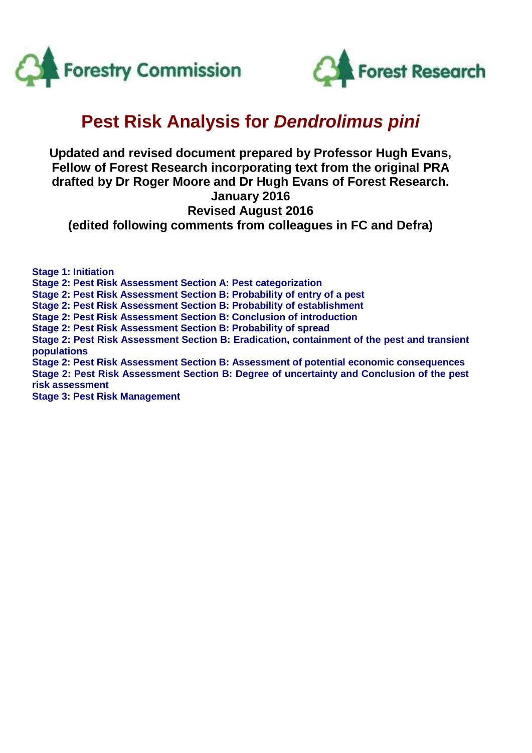



# **Pest Risk Analysis for** *Dendrolimus pini*

# **Updated and revised document prepared by Professor Hugh Evans, Fellow of Forest Research incorporating text from the original PRA drafted by Dr Roger Moore and Dr Hugh Evans of Forest Research. January 2016 Revised August 2016**

**(edited following comments from colleagues in FC and Defra)**

**Stage 1: Initiation Stage 2: Pest Risk Assessment Section A: Pest categorization Stage 2: Pest Risk Assessment Section B: Probability of entry of a pest Stage 2: Pest Risk Assessment Section B: Probability of establishment Stage 2: Pest Risk Assessment Section B: Conclusion of introduction Stage 2: Pest Risk Assessment Section B: Probability of spread Stage 2: Pest Risk Assessment Section B: Eradication, containment of the pest and transient populations Stage 2: Pest Risk Assessment Section B: Assessment of potential economic consequences Stage 2: Pest Risk Assessment Section B: Degree of uncertainty and Conclusion of the pest risk assessment Stage 3: Pest Risk Management**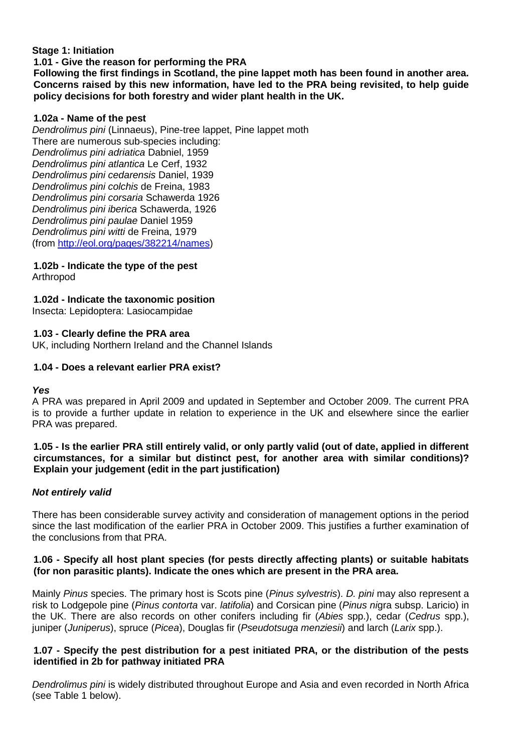# **Stage 1: Initiation**

#### **1.01 - Give the reason for performing the PRA**

**Following the first findings in Scotland, the pine lappet moth has been found in another area. Concerns raised by this new information, have led to the PRA being revisited, to help guide policy decisions for both forestry and wider plant health in the UK.**

### **1.02a - Name of the pest**

*Dendrolimus pini* (Linnaeus), Pine-tree lappet, Pine lappet moth There are numerous sub-species including: *Dendrolimus pini adriatica* Dabniel, 1959 *Dendrolimus pini atlantica* Le Cerf, 1932 *Dendrolimus pini cedarensis* Daniel, 1939 *Dendrolimus pini colchis* de Freina, 1983 *Dendrolimus pini corsaria* Schawerda 1926 *Dendrolimus pini iberica* Schawerda, 1926 *Dendrolimus pini paulae* Daniel 1959 *Dendrolimus pini witti* de Freina, 1979 (from [http://eol.org/pages/382214/names\)](http://eol.org/pages/382214/names)

#### **1.02b - Indicate the type of the pest** Arthropod

# **1.02d - Indicate the taxonomic position**

Insecta: Lepidoptera: Lasiocampidae

# **1.03 - Clearly define the PRA area**

UK, including Northern Ireland and the Channel Islands

### **1.04 - Does a relevant earlier PRA exist?**

# *Yes*

A PRA was prepared in April 2009 and updated in September and October 2009. The current PRA is to provide a further update in relation to experience in the UK and elsewhere since the earlier PRA was prepared.

### **1.05 - Is the earlier PRA still entirely valid, or only partly valid (out of date, applied in different circumstances, for a similar but distinct pest, for another area with similar conditions)? Explain your judgement (edit in the part justification)**

# *Not entirely valid*

There has been considerable survey activity and consideration of management options in the period since the last modification of the earlier PRA in October 2009. This justifies a further examination of the conclusions from that PRA.

# **1.06 - Specify all host plant species (for pests directly affecting plants) or suitable habitats (for non parasitic plants). Indicate the ones which are present in the PRA area.**

Mainly *Pinus* species. The primary host is Scots pine (*Pinus sylvestris*). *D. pini* may also represent a risk to Lodgepole pine (*Pinus contorta* var. *latifolia*) and Corsican pine (*Pinus ni*gra subsp. Laricio) in the UK. There are also records on other conifers including fir (*Abies* spp.), cedar (*Cedrus* spp.), juniper (*Juniperus*), spruce (*Picea*), Douglas fir (*Pseudotsuga menziesii*) and larch (*Larix* spp.).

# **1.07 - Specify the pest distribution for a pest initiated PRA, or the distribution of the pests identified in 2b for pathway initiated PRA**

*Dendrolimus pini* is widely distributed throughout Europe and Asia and even recorded in North Africa (see Table 1 below).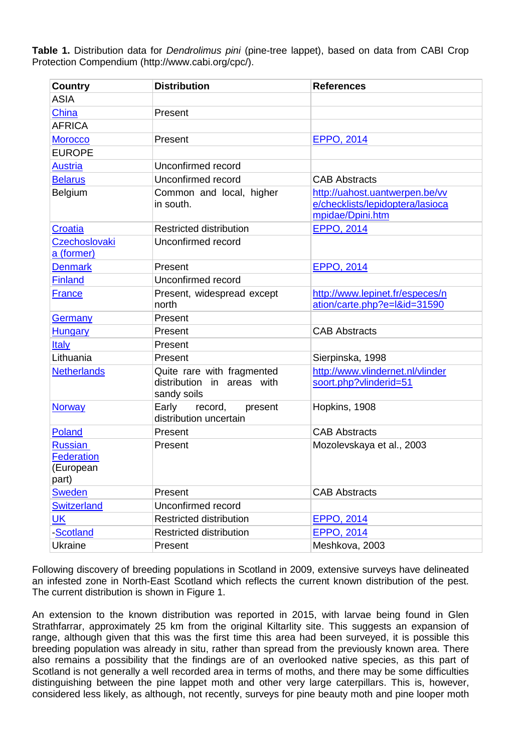**Table 1.** Distribution data for *Dendrolimus pini* (pine-tree lappet), based on data from CABI Crop Protection Compendium (http://www.cabi.org/cpc/).

| <b>Country</b>              | <b>Distribution</b>                       | <b>References</b>                |  |  |  |
|-----------------------------|-------------------------------------------|----------------------------------|--|--|--|
| <b>ASIA</b>                 |                                           |                                  |  |  |  |
| China                       | Present                                   |                                  |  |  |  |
| <b>AFRICA</b>               |                                           |                                  |  |  |  |
| <b>Morocco</b>              | Present                                   | <b>EPPO, 2014</b>                |  |  |  |
| <b>EUROPE</b>               |                                           |                                  |  |  |  |
| <b>Austria</b>              | Unconfirmed record                        |                                  |  |  |  |
| <b>Belarus</b>              | Unconfirmed record                        | <b>CAB Abstracts</b>             |  |  |  |
| Belgium                     | Common and local, higher                  | http://uahost.uantwerpen.be/vv   |  |  |  |
|                             | in south.                                 | e/checklists/lepidoptera/lasioca |  |  |  |
|                             |                                           | mpidae/Dpini.htm                 |  |  |  |
| Croatia                     | <b>Restricted distribution</b>            | <b>EPPO, 2014</b>                |  |  |  |
| Czechoslovaki<br>a (former) | Unconfirmed record                        |                                  |  |  |  |
| <b>Denmark</b>              | Present                                   | <b>EPPO, 2014</b>                |  |  |  |
| <b>Finland</b>              | Unconfirmed record                        |                                  |  |  |  |
| <b>France</b>               | Present, widespread except                | http://www.lepinet.fr/especes/n  |  |  |  |
|                             | north                                     | ation/carte.php?e=l&id=31590     |  |  |  |
| Germany                     | Present                                   |                                  |  |  |  |
| <b>Hungary</b>              | Present                                   | <b>CAB Abstracts</b>             |  |  |  |
| Italy                       | Present                                   |                                  |  |  |  |
| Lithuania                   | Present                                   | Sierpinska, 1998                 |  |  |  |
| <b>Netherlands</b>          | Quite rare with fragmented                | http://www.vlindernet.nl/vlinder |  |  |  |
|                             | distribution in areas with<br>sandy soils | soort.php?vlinderid=51           |  |  |  |
| <b>Norway</b>               | Early<br>record,<br>present               | Hopkins, 1908                    |  |  |  |
|                             | distribution uncertain                    |                                  |  |  |  |
| Poland                      | Present                                   | <b>CAB Abstracts</b>             |  |  |  |
| <b>Russian</b>              | Present                                   | Mozolevskaya et al., 2003        |  |  |  |
| <b>Federation</b>           |                                           |                                  |  |  |  |
| (European<br>part)          |                                           |                                  |  |  |  |
| <b>Sweden</b>               | Present                                   | <b>CAB Abstracts</b>             |  |  |  |
| <b>Switzerland</b>          | Unconfirmed record                        |                                  |  |  |  |
| $UK$                        | <b>Restricted distribution</b>            | <b>EPPO, 2014</b>                |  |  |  |
| -Scotland                   | <b>Restricted distribution</b>            | EPPO, 2014                       |  |  |  |
| Ukraine                     | Present                                   | Meshkova, 2003                   |  |  |  |

Following discovery of breeding populations in Scotland in 2009, extensive surveys have delineated an infested zone in North-East Scotland which reflects the current known distribution of the pest. The current distribution is shown in Figure 1.

An extension to the known distribution was reported in 2015, with larvae being found in Glen Strathfarrar, approximately 25 km from the original Kiltarlity site. This suggests an expansion of range, although given that this was the first time this area had been surveyed, it is possible this breeding population was already in situ, rather than spread from the previously known area. There also remains a possibility that the findings are of an overlooked native species, as this part of Scotland is not generally a well recorded area in terms of moths, and there may be some difficulties distinguishing between the pine lappet moth and other very large caterpillars. This is, however, considered less likely, as although, not recently, surveys for pine beauty moth and pine looper moth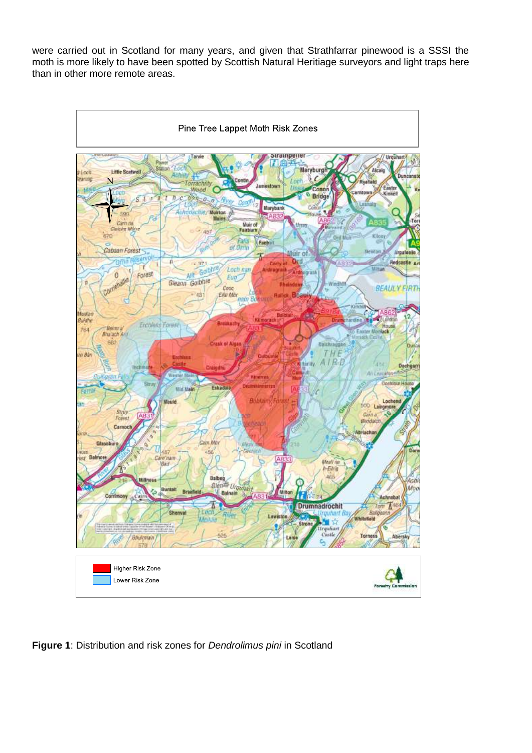were carried out in Scotland for many years, and given that Strathfarrar pinewood is a SSSI the moth is more likely to have been spotted by Scottish Natural Heritiage surveyors and light traps here than in other more remote areas.



**Figure 1**: Distribution and risk zones for *Dendrolimus pini* in Scotland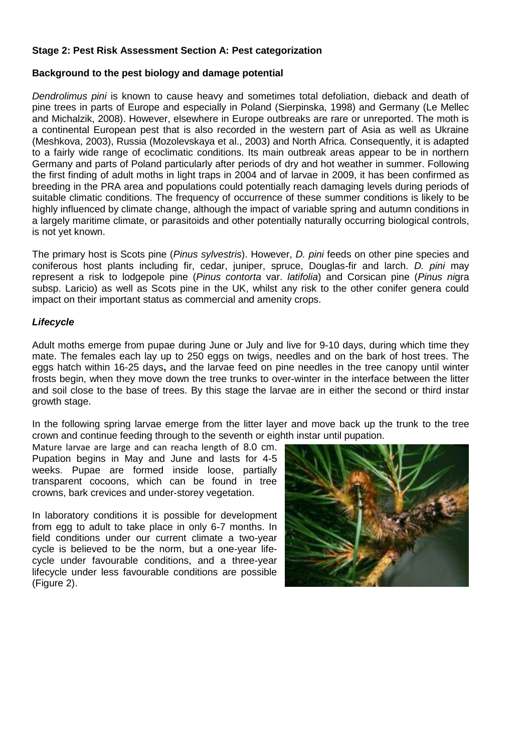### **Stage 2: Pest Risk Assessment Section A: Pest categorization**

### **Background to the pest biology and damage potential**

*Dendrolimus pini* is known to cause heavy and sometimes total defoliation, dieback and death of pine trees in parts of Europe and especially in Poland (Sierpinska, 1998) and Germany (Le Mellec and Michalzik, 2008). However, elsewhere in Europe outbreaks are rare or unreported. The moth is a continental European pest that is also recorded in the western part of Asia as well as Ukraine (Meshkova, 2003), Russia (Mozolevskaya et al., 2003) and North Africa. Consequently, it is adapted to a fairly wide range of ecoclimatic conditions. Its main outbreak areas appear to be in northern Germany and parts of Poland particularly after periods of dry and hot weather in summer. Following the first finding of adult moths in light traps in 2004 and of larvae in 2009, it has been confirmed as breeding in the PRA area and populations could potentially reach damaging levels during periods of suitable climatic conditions. The frequency of occurrence of these summer conditions is likely to be highly influenced by climate change, although the impact of variable spring and autumn conditions in a largely maritime climate, or parasitoids and other potentially naturally occurring biological controls, is not yet known.

The primary host is Scots pine (*Pinus sylvestris*). However, *D. pini* feeds on other pine species and coniferous host plants including fir, cedar, juniper, spruce, Douglas-fir and larch. *D. pini* may represent a risk to lodgepole pine (*Pinus contorta* var. *latifolia*) and Corsican pine (*Pinus ni*gra subsp. Laricio) as well as Scots pine in the UK, whilst any risk to the other conifer genera could impact on their important status as commercial and amenity crops.

### *Lifecycle*

Adult moths emerge from pupae during June or July and live for 9-10 days, during which time they mate. The females each lay up to 250 eggs on twigs, needles and on the bark of host trees. The eggs hatch within 16-25 days**,** and the larvae feed on pine needles in the tree canopy until winter frosts begin, when they move down the tree trunks to over-winter in the interface between the litter and soil close to the base of trees. By this stage the larvae are in either the second or third instar growth stage.

In the following spring larvae emerge from the litter layer and move back up the trunk to the tree crown and continue feeding through to the seventh or eighth instar until pupation.

Mature larvae are large and can reacha length of 8.0 cm. Pupation begins in May and June and lasts for 4-5 weeks. Pupae are formed inside loose, partially transparent cocoons, which can be found in tree crowns, bark crevices and under-storey vegetation.

In laboratory conditions it is possible for development from egg to adult to take place in only 6-7 months. In field conditions under our current climate a two-year cycle is believed to be the norm, but a one-year lifecycle under favourable conditions, and a three-year lifecycle under less favourable conditions are possible (Figure 2).

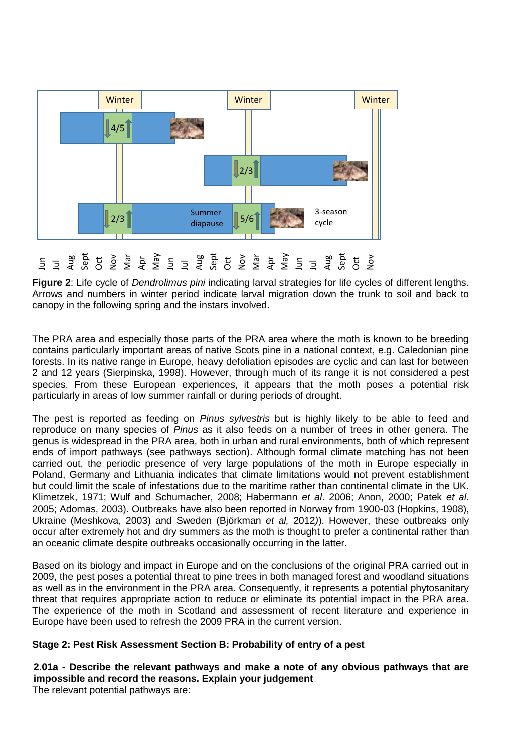

**Figure 2**: Life cycle of *Dendrolimus pini* indicating larval strategies for life cycles of different lengths. Arrows and numbers in winter period indicate larval migration down the trunk to soil and back to canopy in the following spring and the instars involved.

The PRA area and especially those parts of the PRA area where the moth is known to be breeding contains particularly important areas of native Scots pine in a national context, e.g. Caledonian pine forests. In its native range in Europe, heavy defoliation episodes are cyclic and can last for between 2 and 12 years (Sierpinska, 1998). However, through much of its range it is not considered a pest species. From these European experiences, it appears that the moth poses a potential risk particularly in areas of low summer rainfall or during periods of drought.

The pest is reported as feeding on *Pinus sylvestris* but is highly likely to be able to feed and reproduce on many species of *Pinus* as it also feeds on a number of trees in other genera. The genus is widespread in the PRA area, both in urban and rural environments, both of which represent ends of import pathways (see pathways section). Although formal climate matching has not been carried out, the periodic presence of very large populations of the moth in Europe especially in Poland, Germany and Lithuania indicates that climate limitations would not prevent establishment but could limit the scale of infestations due to the maritime rather than continental climate in the UK. Klimetzek, 1971; Wulf and Schumacher, 2008; Habermann *et al*. 2006; Anon, 2000; Patek *et al*. 2005; Adomas, 2003). Outbreaks have also been reported in Norway from 1900-03 (Hopkins, 1908), Ukraine (Meshkova, 2003) and Sweden (Björkman *et al,* 2012*)*). However, these outbreaks only occur after extremely hot and dry summers as the moth is thought to prefer a continental rather than an oceanic climate despite outbreaks occasionally occurring in the latter.  $\frac{1}{2}$   $\frac{1}{3}$   $\frac{1}{6}$   $\frac{1}{6}$   $\frac{1}{2}$   $\frac{1}{2}$   $\frac{1}{2}$   $\frac{1}{2}$   $\frac{1}{3}$   $\frac{1}{3}$   $\frac{1}{2}$   $\frac{1}{3}$   $\frac{1}{2}$   $\frac{1}{3}$  Arrows and numbers in winter periodimus Arrows and numbers in winter periodipatio

Based on its biology and impact in Europe and on the conclusions of the original PRA carried out in 2009, the pest poses a potential threat to pine trees in both managed forest and woodland situations as well as in the environment in the PRA area. Consequently, it represents a potential phytosanitary threat that requires appropriate action to reduce or eliminate its potential impact in the PRA area. The experience of the moth in Scotland and assessment of recent literature and experience in Europe have been used to refresh the 2009 PRA in the current version.

# **Stage 2: Pest Risk Assessment Section B: Probability of entry of a pest**

**2.01a - Describe the relevant pathways and make a note of any obvious pathways that are impossible and record the reasons. Explain your judgement**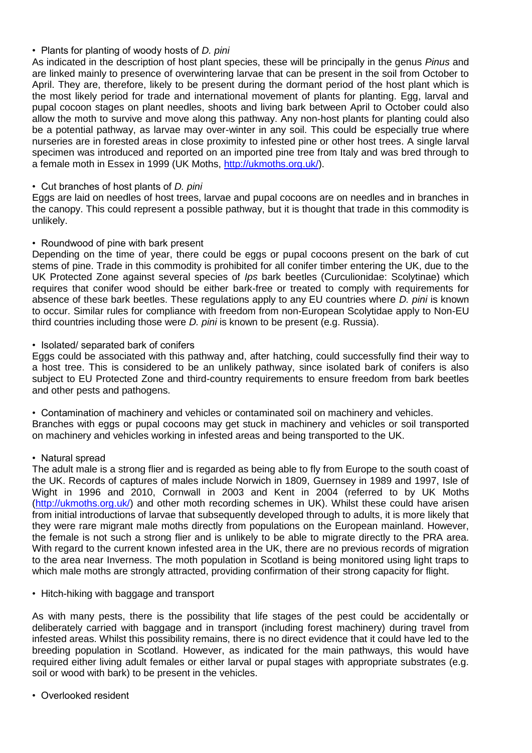# • Plants for planting of woody hosts of *D. pini*

As indicated in the description of host plant species, these will be principally in the genus *Pinus* and are linked mainly to presence of overwintering larvae that can be present in the soil from October to April. They are, therefore, likely to be present during the dormant period of the host plant which is the most likely period for trade and international movement of plants for planting. Egg, larval and pupal cocoon stages on plant needles, shoots and living bark between April to October could also allow the moth to survive and move along this pathway. Any non-host plants for planting could also be a potential pathway, as larvae may over-winter in any soil. This could be especially true where nurseries are in forested areas in close proximity to infested pine or other host trees. A single larval specimen was introduced and reported on an imported pine tree from Italy and was bred through to a female moth in Essex in 1999 (UK Moths, [http://ukmoths.org.uk/\)](http://ukmoths.org.uk/).

# • Cut branches of host plants of *D. pini*

Eggs are laid on needles of host trees, larvae and pupal cocoons are on needles and in branches in the canopy. This could represent a possible pathway, but it is thought that trade in this commodity is unlikely.

# • Roundwood of pine with bark present

Depending on the time of year, there could be eggs or pupal cocoons present on the bark of cut stems of pine. Trade in this commodity is prohibited for all conifer timber entering the UK, due to the UK Protected Zone against several species of *Ips* bark beetles (Curculionidae: Scolytinae) which requires that conifer wood should be either bark-free or treated to comply with requirements for absence of these bark beetles. These regulations apply to any EU countries where *D. pini* is known to occur. Similar rules for compliance with freedom from non-European Scolytidae apply to Non-EU third countries including those were *D. pini* is known to be present (e.g. Russia).

# • Isolated/ separated bark of conifers

Eggs could be associated with this pathway and, after hatching, could successfully find their way to a host tree. This is considered to be an unlikely pathway, since isolated bark of conifers is also subject to EU Protected Zone and third-country requirements to ensure freedom from bark beetles and other pests and pathogens.

• Contamination of machinery and vehicles or contaminated soil on machinery and vehicles. Branches with eggs or pupal cocoons may get stuck in machinery and vehicles or soil transported on machinery and vehicles working in infested areas and being transported to the UK.

# • Natural spread

The adult male is a strong flier and is regarded as being able to fly from Europe to the south coast of the UK. Records of captures of males include Norwich in 1809, Guernsey in 1989 and 1997, Isle of Wight in 1996 and 2010, Cornwall in 2003 and Kent in 2004 (referred to by UK Moths [\(http://ukmoths.org.uk/\)](http://ukmoths.org.uk/) and other moth recording schemes in UK). Whilst these could have arisen from initial introductions of larvae that subsequently developed through to adults, it is more likely that they were rare migrant male moths directly from populations on the European mainland. However, the female is not such a strong flier and is unlikely to be able to migrate directly to the PRA area. With regard to the current known infested area in the UK, there are no previous records of migration to the area near Inverness. The moth population in Scotland is being monitored using light traps to which male moths are strongly attracted, providing confirmation of their strong capacity for flight.

• Hitch-hiking with baggage and transport

As with many pests, there is the possibility that life stages of the pest could be accidentally or deliberately carried with baggage and in transport (including forest machinery) during travel from infested areas. Whilst this possibility remains, there is no direct evidence that it could have led to the breeding population in Scotland. However, as indicated for the main pathways, this would have required either living adult females or either larval or pupal stages with appropriate substrates (e.g. soil or wood with bark) to be present in the vehicles.

• Overlooked resident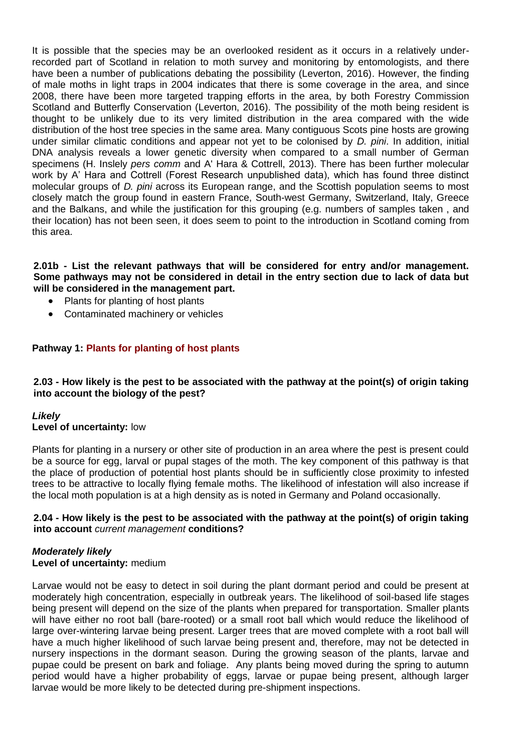It is possible that the species may be an overlooked resident as it occurs in a relatively underrecorded part of Scotland in relation to moth survey and monitoring by entomologists, and there have been a number of publications debating the possibility (Leverton, 2016). However, the finding of male moths in light traps in 2004 indicates that there is some coverage in the area, and since 2008, there have been more targeted trapping efforts in the area, by both Forestry Commission Scotland and Butterfly Conservation (Leverton, 2016). The possibility of the moth being resident is thought to be unlikely due to its very limited distribution in the area compared with the wide distribution of the host tree species in the same area. Many contiguous Scots pine hosts are growing under similar climatic conditions and appear not yet to be colonised by *D. pini*. In addition, initial DNA analysis reveals a lower genetic diversity when compared to a small number of German specimens (H. Inslely *pers comm* and A' Hara & Cottrell, 2013). There has been further molecular work by A' Hara and Cottrell (Forest Research unpublished data), which has found three distinct molecular groups of *D. pini* across its European range, and the Scottish population seems to most closely match the group found in eastern France, South-west Germany, Switzerland, Italy, Greece and the Balkans, and while the justification for this grouping (e.g. numbers of samples taken , and their location) has not been seen, it does seem to point to the introduction in Scotland coming from this area.

**2.01b - List the relevant pathways that will be considered for entry and/or management. Some pathways may not be considered in detail in the entry section due to lack of data but will be considered in the management part.**

- Plants for planting of host plants
- Contaminated machinery or vehicles

# **Pathway 1: Plants for planting of host plants**

### **2.03 - How likely is the pest to be associated with the pathway at the point(s) of origin taking into account the biology of the pest?**

# *Likely*

# **Level of uncertainty:** low

Plants for planting in a nursery or other site of production in an area where the pest is present could be a source for egg, larval or pupal stages of the moth. The key component of this pathway is that the place of production of potential host plants should be in sufficiently close proximity to infested trees to be attractive to locally flying female moths. The likelihood of infestation will also increase if the local moth population is at a high density as is noted in Germany and Poland occasionally.

### **2.04 - How likely is the pest to be associated with the pathway at the point(s) of origin taking into account** *current management* **conditions?**

### *Moderately likely* **Level of uncertainty:** medium

Larvae would not be easy to detect in soil during the plant dormant period and could be present at moderately high concentration, especially in outbreak years. The likelihood of soil-based life stages being present will depend on the size of the plants when prepared for transportation. Smaller plants will have either no root ball (bare-rooted) or a small root ball which would reduce the likelihood of large over-wintering larvae being present. Larger trees that are moved complete with a root ball will have a much higher likelihood of such larvae being present and, therefore, may not be detected in nursery inspections in the dormant season. During the growing season of the plants, larvae and pupae could be present on bark and foliage. Any plants being moved during the spring to autumn period would have a higher probability of eggs, larvae or pupae being present, although larger larvae would be more likely to be detected during pre-shipment inspections.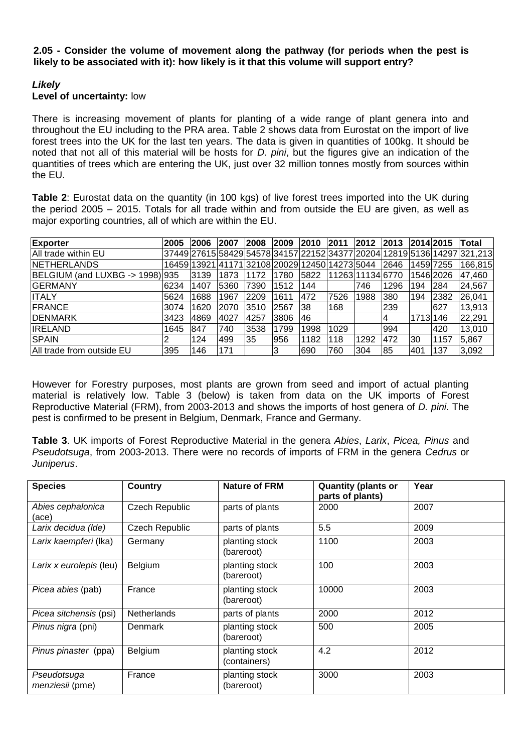### **2.05 - Consider the volume of movement along the pathway (for periods when the pest is likely to be associated with it): how likely is it that this volume will support entry?**

# *Likely*

# **Level of uncertainty:** low

There is increasing movement of plants for planting of a wide range of plant genera into and throughout the EU including to the PRA area. Table 2 shows data from Eurostat on the import of live forest trees into the UK for the last ten years. The data is given in quantities of 100kg. It should be noted that not all of this material will be hosts for *D. pini*, but the figures give an indication of the quantities of trees which are entering the UK, just over 32 million tonnes mostly from sources within the EU.

**Table 2**: Eurostat data on the quantity (in 100 kgs) of live forest trees imported into the UK during the period 2005 – 2015. Totals for all trade within and from outside the EU are given, as well as major exporting countries, all of which are within the EU.

| <b>Exporter</b>                 | 2005 | 2006 | 2007 | 2008 | 2009 | 2010                                           | 2011             | 2012 | 2013 | 2014 2015 |      | <b>Total</b>                                                             |
|---------------------------------|------|------|------|------|------|------------------------------------------------|------------------|------|------|-----------|------|--------------------------------------------------------------------------|
| All trade within EU             |      |      |      |      |      |                                                |                  |      |      |           |      | 37449 27615 58429 54578 34157 22152 34377 20204 12819 5136 14297 321,213 |
| NETHERLANDS                     |      |      |      |      |      | 16459 13921 41171 32108 20029 12450 14273 5044 |                  |      | 2646 | 1459 7255 |      | 166,815                                                                  |
| BELGIUM (and LUXBG -> 1998) 935 |      | 3139 | 1873 | 1172 | 1780 | 5822                                           | 11263111134 6770 |      |      | 1546 2026 |      | 47,460                                                                   |
| <b>IGERMANY</b>                 | 6234 | 1407 | 5360 | 7390 | 1512 | 144                                            |                  | 746  | 1296 | 194       | 284  | 24,567                                                                   |
| <b>ITALY</b>                    | 5624 | 1688 | 1967 | 2209 | 1611 | 472                                            | 7526             | 1988 | 380  | 194       | 2382 | 26,041                                                                   |
| <b>FRANCE</b>                   | 3074 | 1620 | 2070 | 3510 | 2567 | 138                                            | 168              |      | 239  |           | 627  | 13,913                                                                   |
| <b>IDENMARK</b>                 | 3423 | 4869 | 4027 | 4257 | 3806 | l46                                            |                  |      |      | 1713 146  |      | 22,291                                                                   |
| <b>IRELAND</b>                  | 1645 | 847  | 740  | 3538 | 1799 | 1998                                           | 1029             |      | 994  |           | 420  | 13,010                                                                   |
| <b>SPAIN</b>                    |      | 124  | 499  | 35   | 956  | 1182                                           | 118              | 1292 | 472  | l30       | 1157 | 5,867                                                                    |
| All trade from outside EU       | 395  | 146  | 171  |      | 3    | 690                                            | 760              | 304  | 85   | 401       | 137  | 3,092                                                                    |

However for Forestry purposes, most plants are grown from seed and import of actual planting material is relatively low. Table 3 (below) is taken from data on the UK imports of Forest Reproductive Material (FRM), from 2003-2013 and shows the imports of host genera of *D. pini*. The pest is confirmed to be present in Belgium, Denmark, France and Germany.

**Table 3**. UK imports of Forest Reproductive Material in the genera *Abies*, *Larix*, *Picea, Pinus* and *Pseudotsuga*, from 2003-2013. There were no records of imports of FRM in the genera *Cedrus* or *Juniperus*.

| <b>Species</b>                 | <b>Country</b>        | <b>Nature of FRM</b>           | <b>Quantity (plants or</b><br>parts of plants) | Year |
|--------------------------------|-----------------------|--------------------------------|------------------------------------------------|------|
| Abies cephalonica<br>(ace)     | <b>Czech Republic</b> | parts of plants                | 2000                                           | 2007 |
| Larix decidua (Ide)            | Czech Republic        | parts of plants                | 5.5                                            | 2009 |
| Larix kaempferi (lka)          | Germany               | planting stock<br>(bareroot)   | 1100                                           | 2003 |
| Larix x eurolepis (leu)        | Belgium               | planting stock<br>(bareroot)   | 100                                            | 2003 |
| Picea abies (pab)              | France                | planting stock<br>(bareroot)   | 10000                                          | 2003 |
| Picea sitchensis (psi)         | Netherlands           | parts of plants                | 2000                                           | 2012 |
| Pinus nigra (pni)              | <b>Denmark</b>        | planting stock<br>(bareroot)   | 500                                            | 2005 |
| Pinus pinaster (ppa)           | Belgium               | planting stock<br>(containers) | 4.2                                            | 2012 |
| Pseudotsuga<br>menziesii (pme) | France                | planting stock<br>(bareroot)   | 3000                                           | 2003 |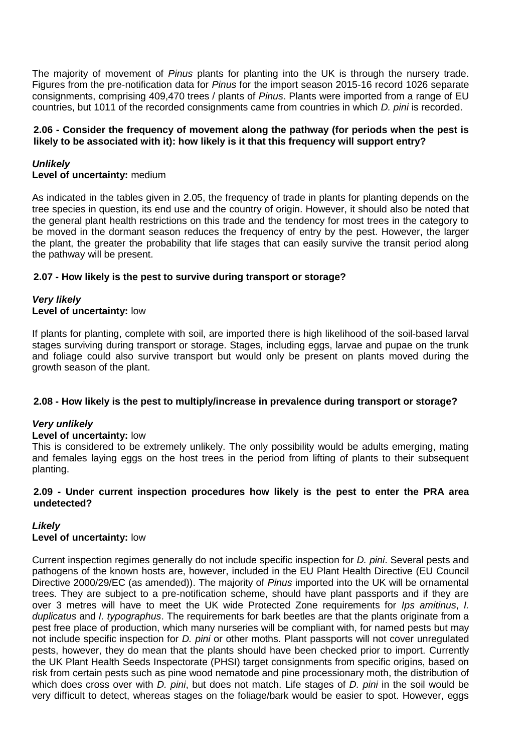The majority of movement of *Pinus* plants for planting into the UK is through the nursery trade. Figures from the pre-notification data for *Pinus* for the import season 2015-16 record 1026 separate consignments, comprising 409,470 trees / plants of *Pinus*. Plants were imported from a range of EU countries, but 1011 of the recorded consignments came from countries in which *D. pini* is recorded.

# **2.06 - Consider the frequency of movement along the pathway (for periods when the pest is likely to be associated with it): how likely is it that this frequency will support entry?**

# *Unlikely*

# **Level of uncertainty:** medium

As indicated in the tables given in 2.05, the frequency of trade in plants for planting depends on the tree species in question, its end use and the country of origin. However, it should also be noted that the general plant health restrictions on this trade and the tendency for most trees in the category to be moved in the dormant season reduces the frequency of entry by the pest. However, the larger the plant, the greater the probability that life stages that can easily survive the transit period along the pathway will be present.

# **2.07 - How likely is the pest to survive during transport or storage?**

### *Very likely* **Level of uncertainty:** low

If plants for planting, complete with soil, are imported there is high likelihood of the soil-based larval stages surviving during transport or storage. Stages, including eggs, larvae and pupae on the trunk and foliage could also survive transport but would only be present on plants moved during the growth season of the plant.

# **2.08 - How likely is the pest to multiply/increase in prevalence during transport or storage?**

# *Very unlikely*

# **Level of uncertainty:** low

This is considered to be extremely unlikely. The only possibility would be adults emerging, mating and females laying eggs on the host trees in the period from lifting of plants to their subsequent planting.

# **2.09 - Under current inspection procedures how likely is the pest to enter the PRA area undetected?**

# *Likely*

# **Level of uncertainty:** low

Current inspection regimes generally do not include specific inspection for *D. pini*. Several pests and pathogens of the known hosts are, however, included in the EU Plant Health Directive (EU Council Directive 2000/29/EC (as amended)). The majority of *Pinus* imported into the UK will be ornamental trees. They are subject to a pre-notification scheme, should have plant passports and if they are over 3 metres will have to meet the UK wide Protected Zone requirements for *Ips amitinus*, *I. duplicatus* and *I. typographus*. The requirements for bark beetles are that the plants originate from a pest free place of production, which many nurseries will be compliant with, for named pests but may not include specific inspection for *D. pini* or other moths. Plant passports will not cover unregulated pests, however, they do mean that the plants should have been checked prior to import. Currently the UK Plant Health Seeds Inspectorate (PHSI) target consignments from specific origins, based on risk from certain pests such as pine wood nematode and pine processionary moth, the distribution of which does cross over with *D. pini*, but does not match. Life stages of *D. pini* in the soil would be very difficult to detect, whereas stages on the foliage/bark would be easier to spot. However, eggs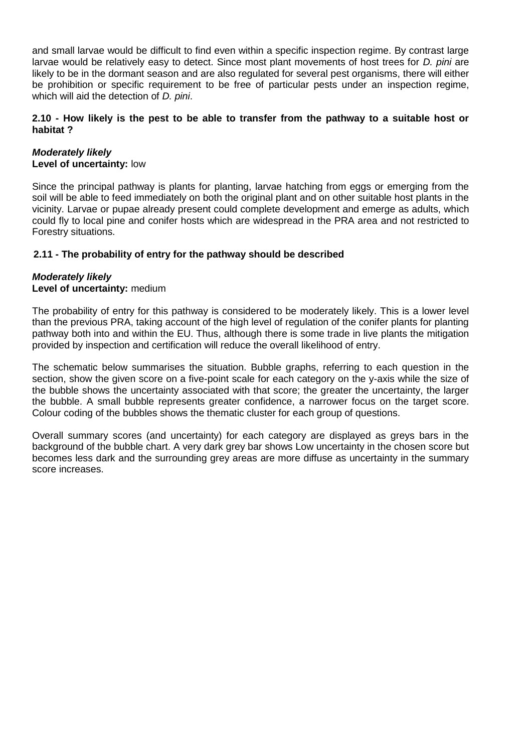and small larvae would be difficult to find even within a specific inspection regime. By contrast large larvae would be relatively easy to detect. Since most plant movements of host trees for *D. pini* are likely to be in the dormant season and are also regulated for several pest organisms, there will either be prohibition or specific requirement to be free of particular pests under an inspection regime, which will aid the detection of *D. pini*.

### **2.10 - How likely is the pest to be able to transfer from the pathway to a suitable host or habitat ?**

### *Moderately likely* **Level of uncertainty:** low

Since the principal pathway is plants for planting, larvae hatching from eggs or emerging from the soil will be able to feed immediately on both the original plant and on other suitable host plants in the vicinity. Larvae or pupae already present could complete development and emerge as adults, which could fly to local pine and conifer hosts which are widespread in the PRA area and not restricted to Forestry situations.

# **2.11 - The probability of entry for the pathway should be described**

# *Moderately likely* **Level of uncertainty:** medium

The probability of entry for this pathway is considered to be moderately likely. This is a lower level than the previous PRA, taking account of the high level of regulation of the conifer plants for planting pathway both into and within the EU. Thus, although there is some trade in live plants the mitigation provided by inspection and certification will reduce the overall likelihood of entry.

The schematic below summarises the situation. Bubble graphs, referring to each question in the section, show the given score on a five-point scale for each category on the y-axis while the size of the bubble shows the uncertainty associated with that score; the greater the uncertainty, the larger the bubble. A small bubble represents greater confidence, a narrower focus on the target score. Colour coding of the bubbles shows the thematic cluster for each group of questions.

Overall summary scores (and uncertainty) for each category are displayed as greys bars in the background of the bubble chart. A very dark grey bar shows Low uncertainty in the chosen score but becomes less dark and the surrounding grey areas are more diffuse as uncertainty in the summary score increases.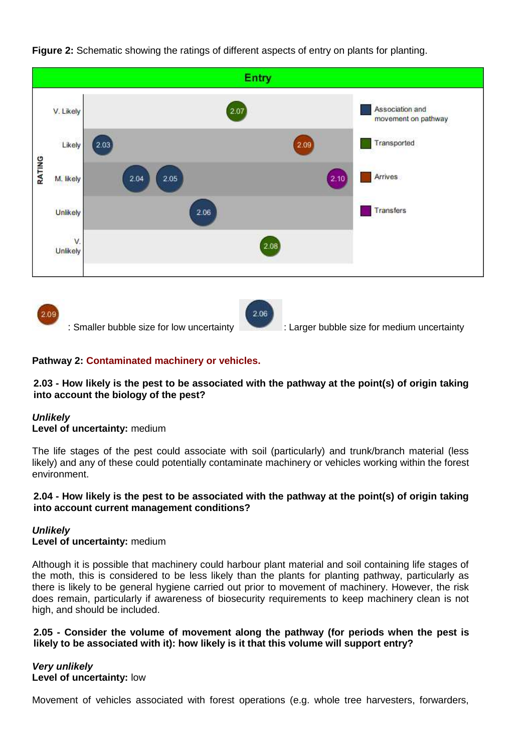





# **Pathway 2: Contaminated machinery or vehicles.**

# **2.03 - How likely is the pest to be associated with the pathway at the point(s) of origin taking into account the biology of the pest?**

# *Unlikely*

# **Level of uncertainty:** medium

The life stages of the pest could associate with soil (particularly) and trunk/branch material (less likely) and any of these could potentially contaminate machinery or vehicles working within the forest environment.

### **2.04 - How likely is the pest to be associated with the pathway at the point(s) of origin taking into account current management conditions?**

# *Unlikely*

### **Level of uncertainty:** medium

Although it is possible that machinery could harbour plant material and soil containing life stages of the moth, this is considered to be less likely than the plants for planting pathway, particularly as there is likely to be general hygiene carried out prior to movement of machinery. However, the risk does remain, particularly if awareness of biosecurity requirements to keep machinery clean is not high, and should be included.

### **2.05 - Consider the volume of movement along the pathway (for periods when the pest is likely to be associated with it): how likely is it that this volume will support entry?**

# *Very unlikely* **Level of uncertainty:** low

Movement of vehicles associated with forest operations (e.g. whole tree harvesters, forwarders,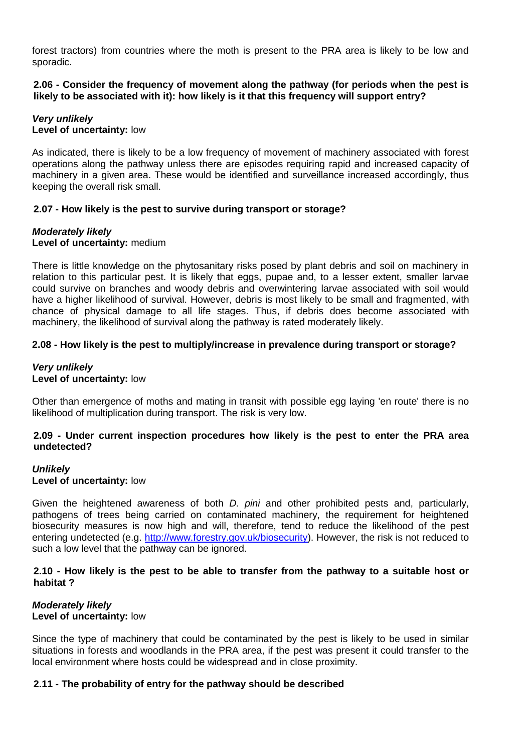forest tractors) from countries where the moth is present to the PRA area is likely to be low and sporadic.

### **2.06 - Consider the frequency of movement along the pathway (for periods when the pest is likely to be associated with it): how likely is it that this frequency will support entry?**

### *Very unlikely* **Level of uncertainty:** low

As indicated, there is likely to be a low frequency of movement of machinery associated with forest operations along the pathway unless there are episodes requiring rapid and increased capacity of machinery in a given area. These would be identified and surveillance increased accordingly, thus keeping the overall risk small.

# **2.07 - How likely is the pest to survive during transport or storage?**

# *Moderately likely*

# **Level of uncertainty:** medium

There is little knowledge on the phytosanitary risks posed by plant debris and soil on machinery in relation to this particular pest. It is likely that eggs, pupae and, to a lesser extent, smaller larvae could survive on branches and woody debris and overwintering larvae associated with soil would have a higher likelihood of survival. However, debris is most likely to be small and fragmented, with chance of physical damage to all life stages. Thus, if debris does become associated with machinery, the likelihood of survival along the pathway is rated moderately likely.

# **2.08 - How likely is the pest to multiply/increase in prevalence during transport or storage?**

# *Very unlikely* **Level of uncertainty:** low

Other than emergence of moths and mating in transit with possible egg laying 'en route' there is no likelihood of multiplication during transport. The risk is very low.

# **2.09 - Under current inspection procedures how likely is the pest to enter the PRA area undetected?**

### *Unlikely* **Level of uncertainty:** low

Given the heightened awareness of both *D. pini* and other prohibited pests and, particularly, pathogens of trees being carried on contaminated machinery, the requirement for heightened biosecurity measures is now high and will, therefore, tend to reduce the likelihood of the pest entering undetected (e.g. http://www.forestry.gov.uk/biosecurity). However, the risk is not reduced to such a low level that the pathway can be ignored.

### **2.10 - How likely is the pest to be able to transfer from the pathway to a suitable host or habitat ?**

### *Moderately likely* **Level of uncertainty:** low

Since the type of machinery that could be contaminated by the pest is likely to be used in similar situations in forests and woodlands in the PRA area, if the pest was present it could transfer to the local environment where hosts could be widespread and in close proximity.

# **2.11 - The probability of entry for the pathway should be described**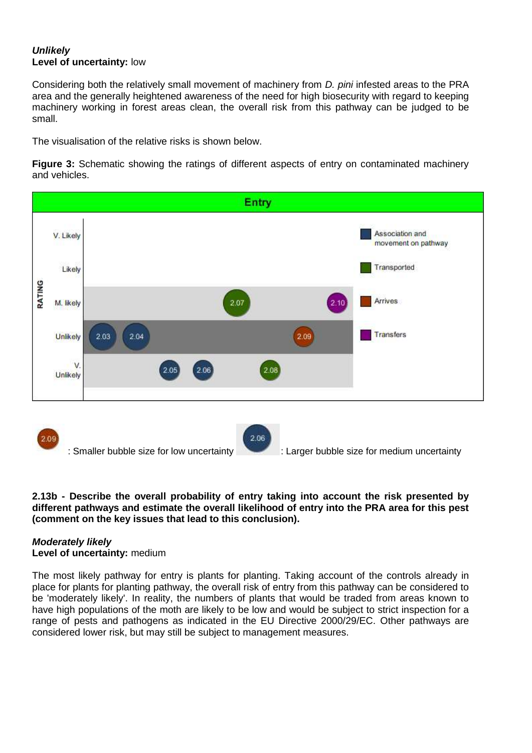# *Unlikely* **Level of uncertainty:** low

Considering both the relatively small movement of machinery from *D. pini* infested areas to the PRA area and the generally heightened awareness of the need for high biosecurity with regard to keeping machinery working in forest areas clean, the overall risk from this pathway can be judged to be small.

The visualisation of the relative risks is shown below.

**Figure 3:** Schematic showing the ratings of different aspects of entry on contaminated machinery and vehicles.



### **2.13b - Describe the overall probability of entry taking into account the risk presented by different pathways and estimate the overall likelihood of entry into the PRA area for this pest (comment on the key issues that lead to this conclusion).**

### *Moderately likely* **Level of uncertainty:** medium

The most likely pathway for entry is plants for planting. Taking account of the controls already in place for plants for planting pathway, the overall risk of entry from this pathway can be considered to be 'moderately likely'. In reality, the numbers of plants that would be traded from areas known to have high populations of the moth are likely to be low and would be subject to strict inspection for a range of pests and pathogens as indicated in the EU Directive 2000/29/EC. Other pathways are considered lower risk, but may still be subject to management measures.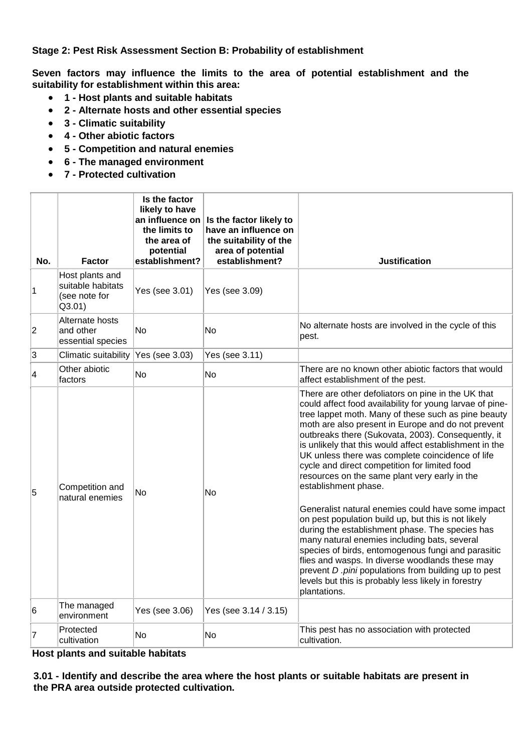**Stage 2: Pest Risk Assessment Section B: Probability of establishment**

**Seven factors may influence the limits to the area of potential establishment and the suitability for establishment within this area:** 

- **1 - Host plants and suitable habitats**
- **2 - Alternate hosts and other essential species**
- **3 - Climatic suitability**
- **4 - Other abiotic factors**
- **5 - Competition and natural enemies**
- **6 - The managed environment**
- **7 - Protected cultivation**

| No.            | <b>Factor</b>                                                   | Is the factor<br>likely to have<br>an influence on<br>the limits to<br>the area of<br>potential<br>establishment? | Is the factor likely to<br>have an influence on<br>the suitability of the<br>area of potential<br>establishment? | <b>Justification</b>                                                                                                                                                                                                                                                                                                                                                                                                                                                                                                                                                                                                                                                                                                                                                                                                                                                                                                                                                              |
|----------------|-----------------------------------------------------------------|-------------------------------------------------------------------------------------------------------------------|------------------------------------------------------------------------------------------------------------------|-----------------------------------------------------------------------------------------------------------------------------------------------------------------------------------------------------------------------------------------------------------------------------------------------------------------------------------------------------------------------------------------------------------------------------------------------------------------------------------------------------------------------------------------------------------------------------------------------------------------------------------------------------------------------------------------------------------------------------------------------------------------------------------------------------------------------------------------------------------------------------------------------------------------------------------------------------------------------------------|
| 1              | Host plants and<br>suitable habitats<br>(see note for<br>Q3.01) | Yes (see 3.01)                                                                                                    | Yes (see 3.09)                                                                                                   |                                                                                                                                                                                                                                                                                                                                                                                                                                                                                                                                                                                                                                                                                                                                                                                                                                                                                                                                                                                   |
| $\overline{2}$ | Alternate hosts<br>and other<br>essential species               | <b>No</b>                                                                                                         | <b>No</b>                                                                                                        | No alternate hosts are involved in the cycle of this<br>pest.                                                                                                                                                                                                                                                                                                                                                                                                                                                                                                                                                                                                                                                                                                                                                                                                                                                                                                                     |
| 3              | Climatic suitability                                            | Yes (see 3.03)                                                                                                    | Yes (see 3.11)                                                                                                   |                                                                                                                                                                                                                                                                                                                                                                                                                                                                                                                                                                                                                                                                                                                                                                                                                                                                                                                                                                                   |
| 4              | Other abiotic<br>factors                                        | No                                                                                                                | No                                                                                                               | There are no known other abiotic factors that would<br>affect establishment of the pest.                                                                                                                                                                                                                                                                                                                                                                                                                                                                                                                                                                                                                                                                                                                                                                                                                                                                                          |
| 5              | Competition and<br>natural enemies                              | <b>No</b>                                                                                                         | No                                                                                                               | There are other defoliators on pine in the UK that<br>could affect food availability for young larvae of pine-<br>tree lappet moth. Many of these such as pine beauty<br>moth are also present in Europe and do not prevent<br>outbreaks there (Sukovata, 2003). Consequently, it<br>is unlikely that this would affect establishment in the<br>UK unless there was complete coincidence of life<br>cycle and direct competition for limited food<br>resources on the same plant very early in the<br>establishment phase.<br>Generalist natural enemies could have some impact<br>on pest population build up, but this is not likely<br>during the establishment phase. The species has<br>many natural enemies including bats, several<br>species of birds, entomogenous fungi and parasitic<br>flies and wasps. In diverse woodlands these may<br>prevent D .pini populations from building up to pest<br>levels but this is probably less likely in forestry<br>plantations. |
| 6              | The managed<br>environment                                      | Yes (see 3.06)                                                                                                    | Yes (see 3.14 / 3.15)                                                                                            |                                                                                                                                                                                                                                                                                                                                                                                                                                                                                                                                                                                                                                                                                                                                                                                                                                                                                                                                                                                   |
| 7              | Protected<br>cultivation                                        | <b>No</b>                                                                                                         | <b>No</b>                                                                                                        | This pest has no association with protected<br>cultivation.                                                                                                                                                                                                                                                                                                                                                                                                                                                                                                                                                                                                                                                                                                                                                                                                                                                                                                                       |

**Host plants and suitable habitats**

**3.01 - Identify and describe the area where the host plants or suitable habitats are present in the PRA area outside protected cultivation.**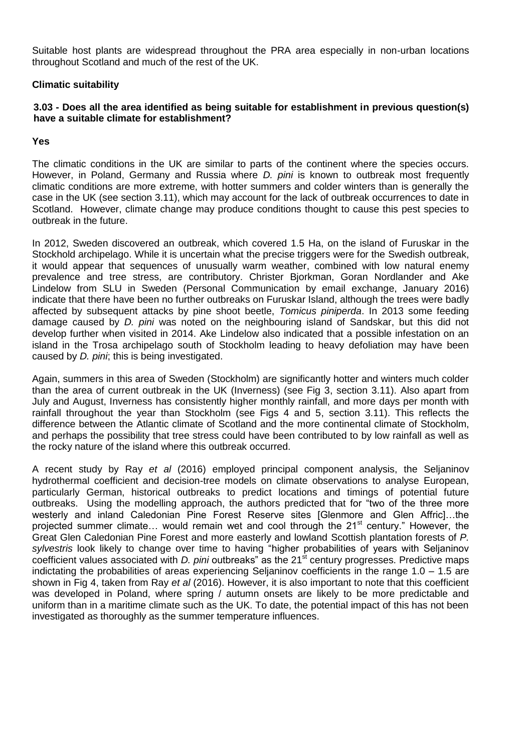Suitable host plants are widespread throughout the PRA area especially in non-urban locations throughout Scotland and much of the rest of the UK.

### **Climatic suitability**

# **3.03 - Does all the area identified as being suitable for establishment in previous question(s) have a suitable climate for establishment?**

### **Yes**

The climatic conditions in the UK are similar to parts of the continent where the species occurs. However, in Poland, Germany and Russia where *D. pini* is known to outbreak most frequently climatic conditions are more extreme, with hotter summers and colder winters than is generally the case in the UK (see section 3.11), which may account for the lack of outbreak occurrences to date in Scotland. However, climate change may produce conditions thought to cause this pest species to outbreak in the future.

In 2012, Sweden discovered an outbreak, which covered 1.5 Ha, on the island of Furuskar in the Stockhold archipelago. While it is uncertain what the precise triggers were for the Swedish outbreak, it would appear that sequences of unusually warm weather, combined with low natural enemy prevalence and tree stress, are contributory. Christer Bjorkman, Goran Nordlander and Ake Lindelow from SLU in Sweden (Personal Communication by email exchange, January 2016) indicate that there have been no further outbreaks on Furuskar Island, although the trees were badly affected by subsequent attacks by pine shoot beetle, *Tomicus piniperda*. In 2013 some feeding damage caused by *D. pini* was noted on the neighbouring island of Sandskar, but this did not develop further when visited in 2014. Ake Lindelow also indicated that a possible infestation on an island in the Trosa archipelago south of Stockholm leading to heavy defoliation may have been caused by *D. pini*; this is being investigated.

Again, summers in this area of Sweden (Stockholm) are significantly hotter and winters much colder than the area of current outbreak in the UK (Inverness) (see Fig 3, section 3.11). Also apart from July and August, Inverness has consistently higher monthly rainfall, and more days per month with rainfall throughout the year than Stockholm (see Figs 4 and 5, section 3.11). This reflects the difference between the Atlantic climate of Scotland and the more continental climate of Stockholm, and perhaps the possibility that tree stress could have been contributed to by low rainfall as well as the rocky nature of the island where this outbreak occurred.

A recent study by Ray *et al* (2016) employed principal component analysis, the Seljaninov hydrothermal coefficient and decision-tree models on climate observations to analyse European, particularly German, historical outbreaks to predict locations and timings of potential future outbreaks. Using the modelling approach, the authors predicted that for "two of the three more westerly and inland Caledonian Pine Forest Reserve sites [Glenmore and Glen Affric]…the projected summer climate... would remain wet and cool through the 21<sup>st</sup> century." However, the Great Glen Caledonian Pine Forest and more easterly and lowland Scottish plantation forests of *P. sylvestris* look likely to change over time to having "higher probabilities of years with Seljaninov coefficient values associated with *D. pini* outbreaks<sup>"</sup> as the 21<sup>st</sup> century progresses. Predictive maps indictating the probabilities of areas experiencing Seljaninov coefficients in the range 1.0 – 1.5 are shown in Fig 4, taken from Ray *et al* (2016). However, it is also important to note that this coefficient was developed in Poland, where spring / autumn onsets are likely to be more predictable and uniform than in a maritime climate such as the UK. To date, the potential impact of this has not been investigated as thoroughly as the summer temperature influences.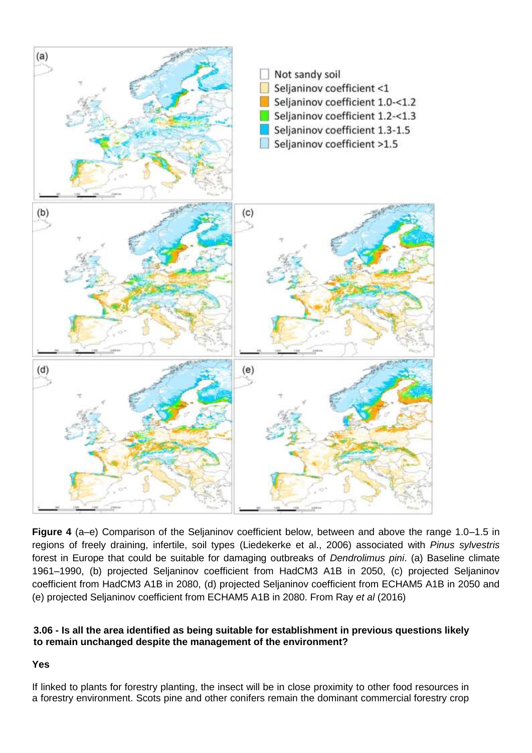

**Figure 4** (a–e) Comparison of the Seljaninov coefficient below, between and above the range 1.0–1.5 in regions of freely draining, infertile, soil types (Liedekerke et al., 2006) associated with *Pinus sylvestris* forest in Europe that could be suitable for damaging outbreaks of *Dendrolimus pini*. (a) Baseline climate 1961–1990, (b) projected Seljaninov coefficient from HadCM3 A1B in 2050, (c) projected Seljaninov coefficient from HadCM3 A1B in 2080, (d) projected Seljaninov coefficient from ECHAM5 A1B in 2050 and (e) projected Seljaninov coefficient from ECHAM5 A1B in 2080. From Ray *et al* (2016)

# **3.06 - Is all the area identified as being suitable for establishment in previous questions likely to remain unchanged despite the management of the environment?**

# **Yes**

If linked to plants for forestry planting, the insect will be in close proximity to other food resources in a forestry environment. Scots pine and other conifers remain the dominant commercial forestry crop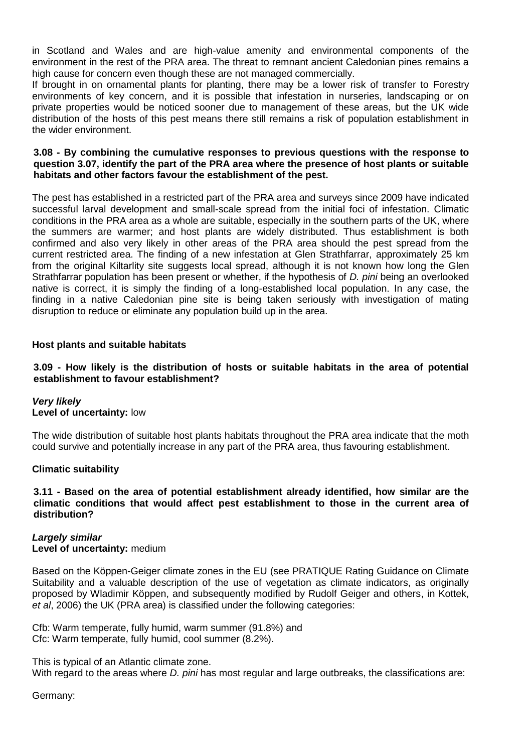in Scotland and Wales and are high-value amenity and environmental components of the environment in the rest of the PRA area. The threat to remnant ancient Caledonian pines remains a high cause for concern even though these are not managed commercially.

If brought in on ornamental plants for planting, there may be a lower risk of transfer to Forestry environments of key concern, and it is possible that infestation in nurseries, landscaping or on private properties would be noticed sooner due to management of these areas, but the UK wide distribution of the hosts of this pest means there still remains a risk of population establishment in the wider environment.

### **3.08 - By combining the cumulative responses to previous questions with the response to question 3.07, identify the part of the PRA area where the presence of host plants or suitable habitats and other factors favour the establishment of the pest.**

The pest has established in a restricted part of the PRA area and surveys since 2009 have indicated successful larval development and small-scale spread from the initial foci of infestation. Climatic conditions in the PRA area as a whole are suitable, especially in the southern parts of the UK, where the summers are warmer; and host plants are widely distributed. Thus establishment is both confirmed and also very likely in other areas of the PRA area should the pest spread from the current restricted area. The finding of a new infestation at Glen Strathfarrar, approximately 25 km from the original Kiltarlity site suggests local spread, although it is not known how long the Glen Strathfarrar population has been present or whether, if the hypothesis of *D. pini* being an overlooked native is correct, it is simply the finding of a long-established local population. In any case, the finding in a native Caledonian pine site is being taken seriously with investigation of mating disruption to reduce or eliminate any population build up in the area.

### **Host plants and suitable habitats**

### **3.09 - How likely is the distribution of hosts or suitable habitats in the area of potential establishment to favour establishment?**

### *Very likely* **Level of uncertainty:** low

The wide distribution of suitable host plants habitats throughout the PRA area indicate that the moth could survive and potentially increase in any part of the PRA area, thus favouring establishment.

### **Climatic suitability**

### **3.11 - Based on the area of potential establishment already identified, how similar are the climatic conditions that would affect pest establishment to those in the current area of distribution?**

# *Largely similar* **Level of uncertainty:** medium

Based on the Köppen-Geiger climate zones in the EU (see PRATIQUE Rating Guidance on Climate Suitability and a valuable description of the use of vegetation as climate indicators, as originally proposed by Wladimir Köppen, and subsequently modified by Rudolf Geiger and others, in Kottek, *et al*, 2006) the UK (PRA area) is classified under the following categories:

Cfb: Warm temperate, fully humid, warm summer (91.8%) and Cfc: Warm temperate, fully humid, cool summer (8.2%).

This is typical of an Atlantic climate zone.

With regard to the areas where *D. pini* has most regular and large outbreaks, the classifications are:

Germany: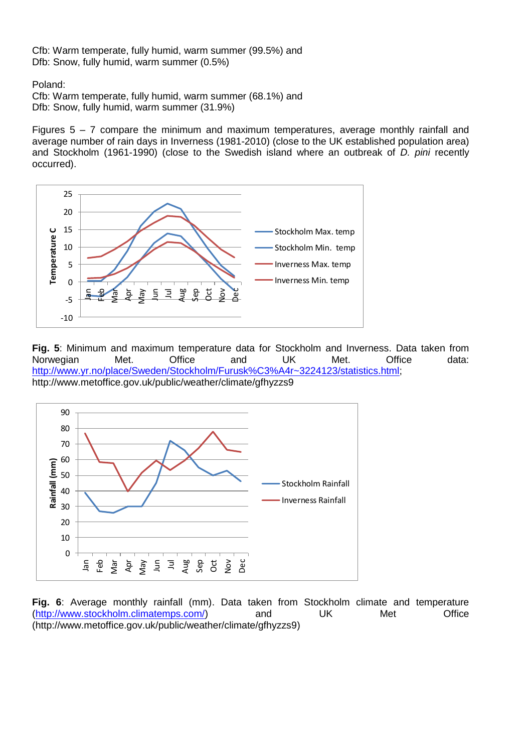Cfb: Warm temperate, fully humid, warm summer (99.5%) and Dfb: Snow, fully humid, warm summer (0.5%)

Poland:

Cfb: Warm temperate, fully humid, warm summer (68.1%) and Dfb: Snow, fully humid, warm summer (31.9%)

Figures  $5 - 7$  compare the minimum and maximum temperatures, average monthly rainfall and average number of rain days in Inverness (1981-2010) (close to the UK established population area) and Stockholm (1961-1990) (close to the Swedish island where an outbreak of *D. pini* recently occurred).



**Fig. 5**: Minimum and maximum temperature data for Stockholm and Inverness. Data taken from Norwegian Met. Office and UK Met. Office data: [http://www.yr.no/place/Sweden/Stockholm/Furusk%C3%A4r~3224123/statistics.html;](http://www.yr.no/place/Sweden/Stockholm/Furusk%C3%A4r~3224123/statistics.html) http://www.metoffice.gov.uk/public/weather/climate/gfhyzzs9



**Fig. 6**: Average monthly rainfall (mm). Data taken from Stockholm climate and temperature [\(http://www.stockholm.climatemps.com/\)](http://www.stockholm.climatemps.com/) and UK Met Office (http://www.metoffice.gov.uk/public/weather/climate/gfhyzzs9)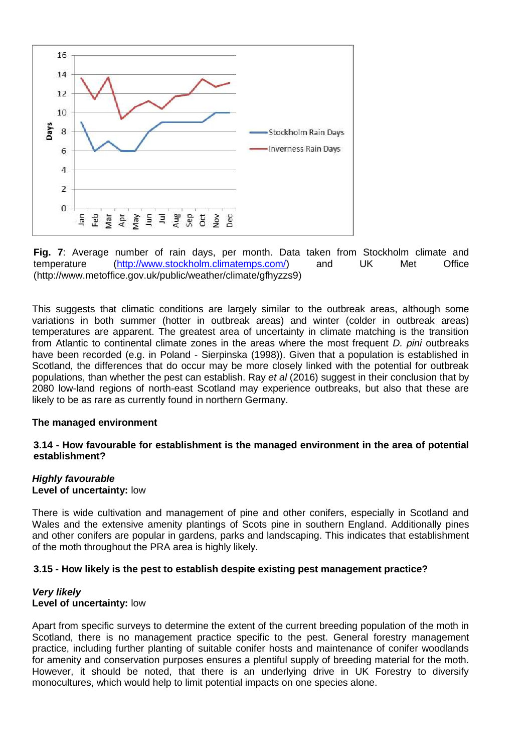

**Fig. 7**: Average number of rain days, per month. Data taken from Stockholm climate and temperature [\(http://www.stockholm.climatemps.com/\)](http://www.stockholm.climatemps.com/) and UK Met Office (http://www.metoffice.gov.uk/public/weather/climate/gfhyzzs9)

This suggests that climatic conditions are largely similar to the outbreak areas, although some variations in both summer (hotter in outbreak areas) and winter (colder in outbreak areas) temperatures are apparent. The greatest area of uncertainty in climate matching is the transition from Atlantic to continental climate zones in the areas where the most frequent *D. pini* outbreaks have been recorded (e.g. in Poland - Sierpinska (1998)). Given that a population is established in Scotland, the differences that do occur may be more closely linked with the potential for outbreak populations, than whether the pest can establish. Ray *et al* (2016) suggest in their conclusion that by 2080 low-land regions of north-east Scotland may experience outbreaks, but also that these are likely to be as rare as currently found in northern Germany.

### **The managed environment**

### **3.14 - How favourable for establishment is the managed environment in the area of potential establishment?**

# *Highly favourable*

### **Level of uncertainty:** low

There is wide cultivation and management of pine and other conifers, especially in Scotland and Wales and the extensive amenity plantings of Scots pine in southern England. Additionally pines and other conifers are popular in gardens, parks and landscaping. This indicates that establishment of the moth throughout the PRA area is highly likely.

### **3.15 - How likely is the pest to establish despite existing pest management practice?**

### *Very likely* **Level of uncertainty:** low

Apart from specific surveys to determine the extent of the current breeding population of the moth in Scotland, there is no management practice specific to the pest. General forestry management practice, including further planting of suitable conifer hosts and maintenance of conifer woodlands for amenity and conservation purposes ensures a plentiful supply of breeding material for the moth. However, it should be noted, that there is an underlying drive in UK Forestry to diversify monocultures, which would help to limit potential impacts on one species alone.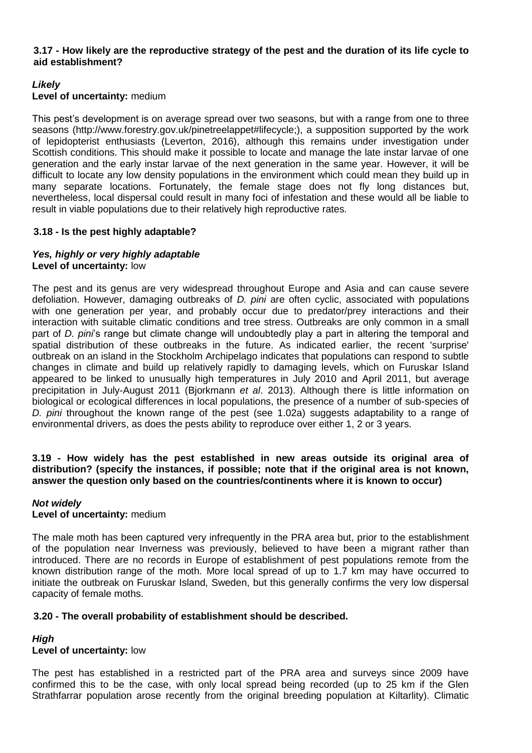### **3.17 - How likely are the reproductive strategy of the pest and the duration of its life cycle to aid establishment?**

# *Likely*

### **Level of uncertainty:** medium

This pest's development is on average spread over two seasons, but with a range from one to three seasons (http://www.forestry.gov.uk/pinetreelappet#lifecycle;), a supposition supported by the work of lepidopterist enthusiasts (Leverton, 2016), although this remains under investigation under Scottish conditions. This should make it possible to locate and manage the late instar larvae of one generation and the early instar larvae of the next generation in the same year. However, it will be difficult to locate any low density populations in the environment which could mean they build up in many separate locations. Fortunately, the female stage does not fly long distances but, nevertheless, local dispersal could result in many foci of infestation and these would all be liable to result in viable populations due to their relatively high reproductive rates.

# **3.18 - Is the pest highly adaptable?**

### *Yes, highly or very highly adaptable* **Level of uncertainty:** low

The pest and its genus are very widespread throughout Europe and Asia and can cause severe defoliation. However, damaging outbreaks of *D. pini* are often cyclic, associated with populations with one generation per year, and probably occur due to predator/prey interactions and their interaction with suitable climatic conditions and tree stress. Outbreaks are only common in a small part of *D. pini*'s range but climate change will undoubtedly play a part in altering the temporal and spatial distribution of these outbreaks in the future. As indicated earlier, the recent 'surprise' outbreak on an island in the Stockholm Archipelago indicates that populations can respond to subtle changes in climate and build up relatively rapidly to damaging levels, which on Furuskar Island appeared to be linked to unusually high temperatures in July 2010 and April 2011, but average precipitation in July-August 2011 (Bjorkmann *et al*. 2013). Although there is little information on biological or ecological differences in local populations, the presence of a number of sub-species of *D. pini* throughout the known range of the pest (see 1.02a) suggests adaptability to a range of environmental drivers, as does the pests ability to reproduce over either 1, 2 or 3 years.

### **3.19 - How widely has the pest established in new areas outside its original area of distribution? (specify the instances, if possible; note that if the original area is not known, answer the question only based on the countries/continents where it is known to occur)**

### *Not widely* **Level of uncertainty:** medium

The male moth has been captured very infrequently in the PRA area but, prior to the establishment of the population near Inverness was previously, believed to have been a migrant rather than introduced. There are no records in Europe of establishment of pest populations remote from the known distribution range of the moth. More local spread of up to 1.7 km may have occurred to initiate the outbreak on Furuskar Island, Sweden, but this generally confirms the very low dispersal capacity of female moths.

# **3.20 - The overall probability of establishment should be described.**

# *High*

# **Level of uncertainty:** low

The pest has established in a restricted part of the PRA area and surveys since 2009 have confirmed this to be the case, with only local spread being recorded (up to 25 km if the Glen Strathfarrar population arose recently from the original breeding population at Kiltarlity). Climatic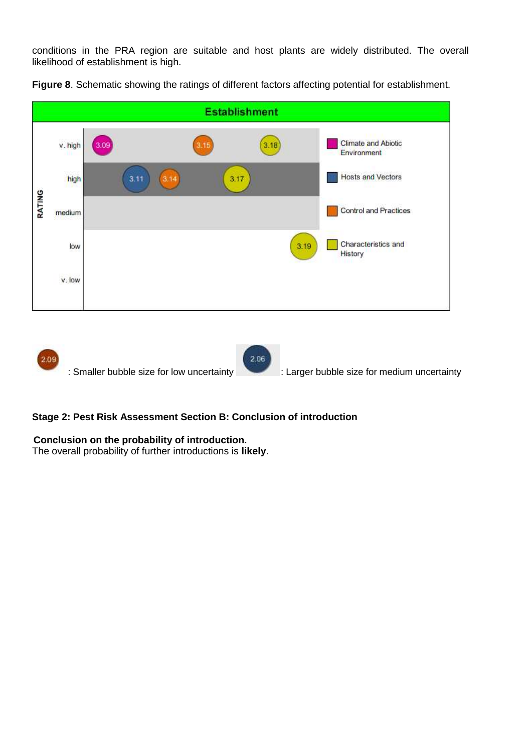conditions in the PRA region are suitable and host plants are widely distributed. The overall likelihood of establishment is high.



**Figure 8**. Schematic showing the ratings of different factors affecting potential for establishment.

2.09 2.06 : Smaller bubble size for low uncertainty : Larger bubble size for medium uncertainty

# **Stage 2: Pest Risk Assessment Section B: Conclusion of introduction**

# **Conclusion on the probability of introduction.**

The overall probability of further introductions is **likely**.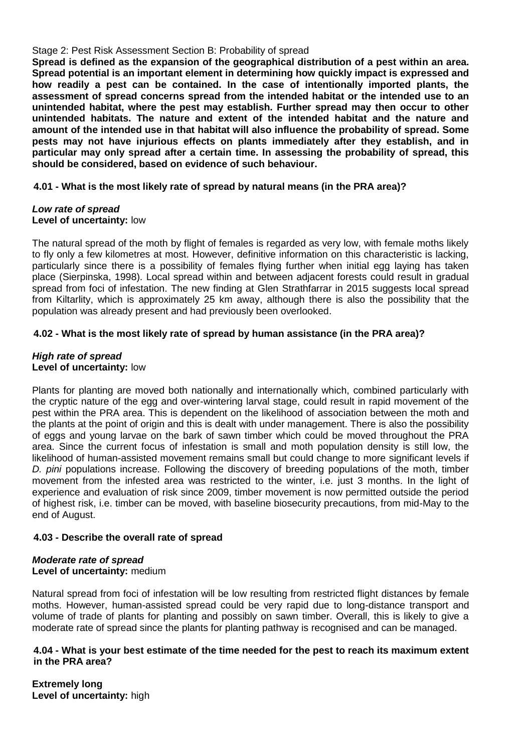### Stage 2: Pest Risk Assessment Section B: Probability of spread

**Spread is defined as the expansion of the geographical distribution of a pest within an area. Spread potential is an important element in determining how quickly impact is expressed and how readily a pest can be contained. In the case of intentionally imported plants, the assessment of spread concerns spread from the intended habitat or the intended use to an unintended habitat, where the pest may establish. Further spread may then occur to other unintended habitats. The nature and extent of the intended habitat and the nature and amount of the intended use in that habitat will also influence the probability of spread. Some pests may not have injurious effects on plants immediately after they establish, and in particular may only spread after a certain time. In assessing the probability of spread, this should be considered, based on evidence of such behaviour.**

# **4.01 - What is the most likely rate of spread by natural means (in the PRA area)?**

### *Low rate of spread* **Level of uncertainty:** low

The natural spread of the moth by flight of females is regarded as very low, with female moths likely to fly only a few kilometres at most. However, definitive information on this characteristic is lacking, particularly since there is a possibility of females flying further when initial egg laying has taken place (Sierpinska, 1998). Local spread within and between adjacent forests could result in gradual spread from foci of infestation. The new finding at Glen Strathfarrar in 2015 suggests local spread from Kiltarlity, which is approximately 25 km away, although there is also the possibility that the population was already present and had previously been overlooked.

# **4.02 - What is the most likely rate of spread by human assistance (in the PRA area)?**

### *High rate of spread* **Level of uncertainty:** low

Plants for planting are moved both nationally and internationally which, combined particularly with the cryptic nature of the egg and over-wintering larval stage, could result in rapid movement of the pest within the PRA area. This is dependent on the likelihood of association between the moth and the plants at the point of origin and this is dealt with under management. There is also the possibility of eggs and young larvae on the bark of sawn timber which could be moved throughout the PRA area. Since the current focus of infestation is small and moth population density is still low, the likelihood of human-assisted movement remains small but could change to more significant levels if *D. pini* populations increase. Following the discovery of breeding populations of the moth, timber movement from the infested area was restricted to the winter, i.e. just 3 months. In the light of experience and evaluation of risk since 2009, timber movement is now permitted outside the period of highest risk, i.e. timber can be moved, with baseline biosecurity precautions, from mid-May to the end of August.

# **4.03 - Describe the overall rate of spread**

### *Moderate rate of spread* **Level of uncertainty:** medium

Natural spread from foci of infestation will be low resulting from restricted flight distances by female moths. However, human-assisted spread could be very rapid due to long-distance transport and volume of trade of plants for planting and possibly on sawn timber. Overall, this is likely to give a moderate rate of spread since the plants for planting pathway is recognised and can be managed.

### **4.04 - What is your best estimate of the time needed for the pest to reach its maximum extent in the PRA area?**

**Extremely long Level of uncertainty:** high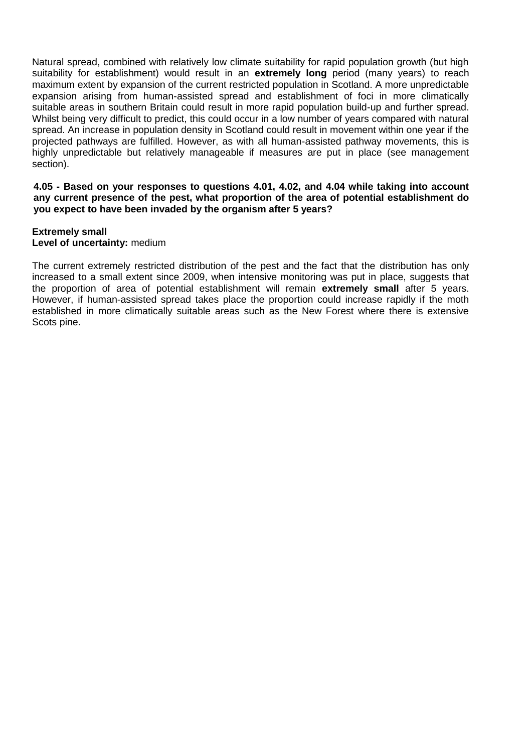Natural spread, combined with relatively low climate suitability for rapid population growth (but high suitability for establishment) would result in an **extremely long** period (many years) to reach maximum extent by expansion of the current restricted population in Scotland. A more unpredictable expansion arising from human-assisted spread and establishment of foci in more climatically suitable areas in southern Britain could result in more rapid population build-up and further spread. Whilst being very difficult to predict, this could occur in a low number of years compared with natural spread. An increase in population density in Scotland could result in movement within one year if the projected pathways are fulfilled. However, as with all human-assisted pathway movements, this is highly unpredictable but relatively manageable if measures are put in place (see management section).

**4.05 - Based on your responses to questions 4.01, 4.02, and 4.04 while taking into account any current presence of the pest, what proportion of the area of potential establishment do you expect to have been invaded by the organism after 5 years?**

# **Extremely small**

### **Level of uncertainty:** medium

The current extremely restricted distribution of the pest and the fact that the distribution has only increased to a small extent since 2009, when intensive monitoring was put in place, suggests that the proportion of area of potential establishment will remain **extremely small** after 5 years. However, if human-assisted spread takes place the proportion could increase rapidly if the moth established in more climatically suitable areas such as the New Forest where there is extensive Scots pine.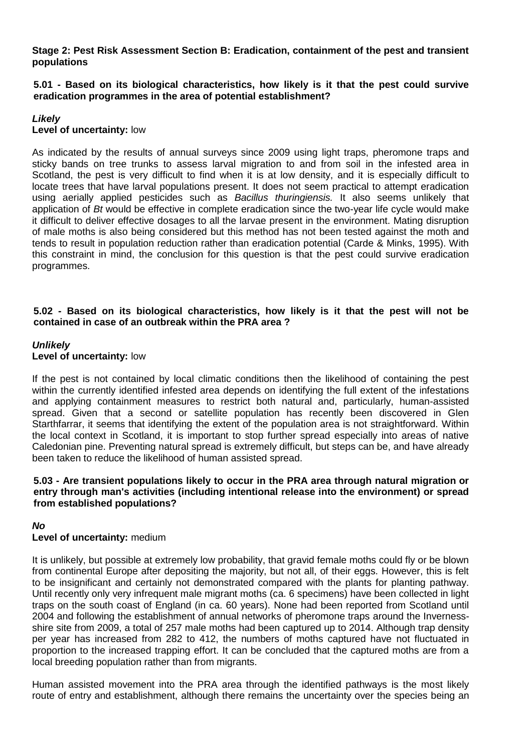**Stage 2: Pest Risk Assessment Section B: Eradication, containment of the pest and transient populations**

**5.01 - Based on its biological characteristics, how likely is it that the pest could survive eradication programmes in the area of potential establishment?**

# *Likely* **Level of uncertainty:** low

As indicated by the results of annual surveys since 2009 using light traps, pheromone traps and sticky bands on tree trunks to assess larval migration to and from soil in the infested area in Scotland, the pest is very difficult to find when it is at low density, and it is especially difficult to locate trees that have larval populations present. It does not seem practical to attempt eradication using aerially applied pesticides such as *Bacillus thuringiensis.* It also seems unlikely that application of *Bt* would be effective in complete eradication since the two-year life cycle would make it difficult to deliver effective dosages to all the larvae present in the environment. Mating disruption of male moths is also being considered but this method has not been tested against the moth and tends to result in population reduction rather than eradication potential (Carde & Minks, 1995). With this constraint in mind, the conclusion for this question is that the pest could survive eradication programmes.

### **5.02 - Based on its biological characteristics, how likely is it that the pest will not be contained in case of an outbreak within the PRA area ?**

# *Unlikely* **Level of uncertainty:** low

If the pest is not contained by local climatic conditions then the likelihood of containing the pest within the currently identified infested area depends on identifying the full extent of the infestations and applying containment measures to restrict both natural and, particularly, human-assisted spread. Given that a second or satellite population has recently been discovered in Glen Starthfarrar, it seems that identifying the extent of the population area is not straightforward. Within the local context in Scotland, it is important to stop further spread especially into areas of native Caledonian pine. Preventing natural spread is extremely difficult, but steps can be, and have already been taken to reduce the likelihood of human assisted spread.

### **5.03 - Are transient populations likely to occur in the PRA area through natural migration or entry through man's activities (including intentional release into the environment) or spread from established populations?**

# *No*

# **Level of uncertainty:** medium

It is unlikely, but possible at extremely low probability, that gravid female moths could fly or be blown from continental Europe after depositing the majority, but not all, of their eggs. However, this is felt to be insignificant and certainly not demonstrated compared with the plants for planting pathway. Until recently only very infrequent male migrant moths (ca. 6 specimens) have been collected in light traps on the south coast of England (in ca. 60 years). None had been reported from Scotland until 2004 and following the establishment of annual networks of pheromone traps around the Invernessshire site from 2009, a total of 257 male moths had been captured up to 2014. Although trap density per year has increased from 282 to 412, the numbers of moths captured have not fluctuated in proportion to the increased trapping effort. It can be concluded that the captured moths are from a local breeding population rather than from migrants.

Human assisted movement into the PRA area through the identified pathways is the most likely route of entry and establishment, although there remains the uncertainty over the species being an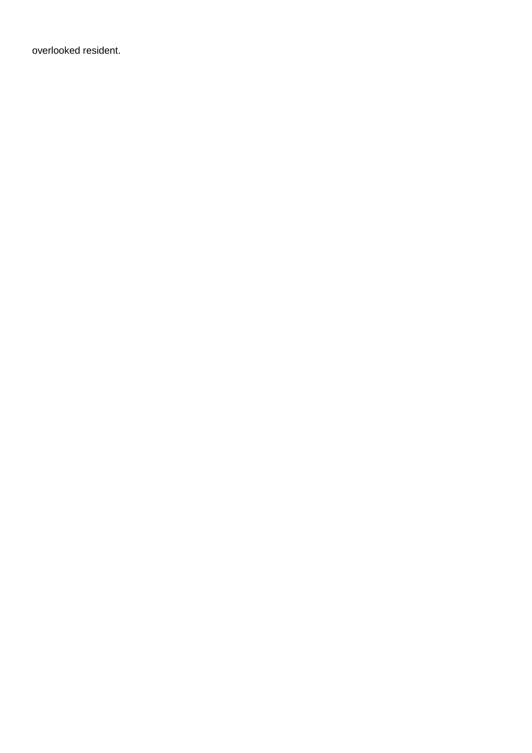overlooked resident.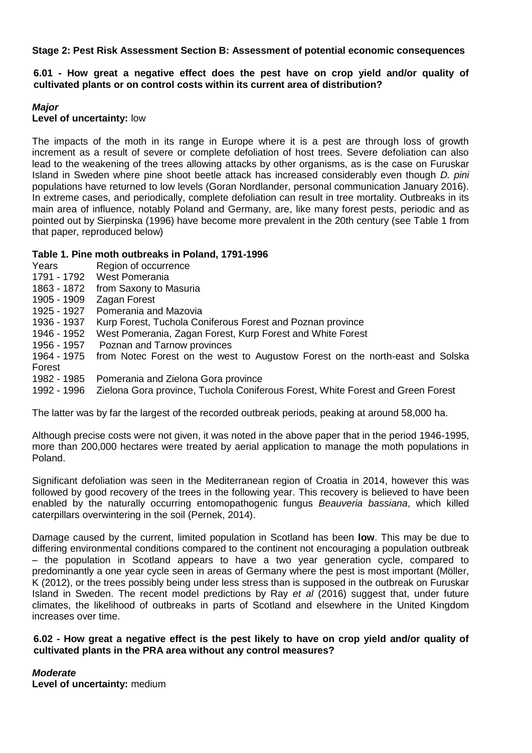**Stage 2: Pest Risk Assessment Section B: Assessment of potential economic consequences**

**6.01 - How great a negative effect does the pest have on crop yield and/or quality of cultivated plants or on control costs within its current area of distribution?**

### *Major*

### **Level of uncertainty:** low

The impacts of the moth in its range in Europe where it is a pest are through loss of growth increment as a result of severe or complete defoliation of host trees. Severe defoliation can also lead to the weakening of the trees allowing attacks by other organisms, as is the case on Furuskar Island in Sweden where pine shoot beetle attack has increased considerably even though *D. pini* populations have returned to low levels (Goran Nordlander, personal communication January 2016). In extreme cases, and periodically, complete defoliation can result in tree mortality. Outbreaks in its main area of influence, notably Poland and Germany, are, like many forest pests, periodic and as pointed out by Sierpinska (1996) have become more prevalent in the 20th century (see Table 1 from that paper, reproduced below)

# **Table 1. Pine moth outbreaks in Poland, 1791-1996**

- Years Region of occurrence
- 1791 1792 West Pomerania
- 1863 1872 from Saxony to Masuria
- 1905 1909 Zagan Forest
- 1925 1927 Pomerania and Mazovia
- 1936 1937 Kurp Forest, Tuchola Coniferous Forest and Poznan province
- 1946 1952 West Pomerania, Zagan Forest, Kurp Forest and White Forest
- 1956 1957 Poznan and Tarnow provinces
- 1964 1975 from Notec Forest on the west to Augustow Forest on the north-east and Solska Forest
- 1982 1985 Pomerania and Zielona Gora province
- 1992 1996 Zielona Gora province, Tuchola Coniferous Forest, White Forest and Green Forest

The latter was by far the largest of the recorded outbreak periods, peaking at around 58,000 ha.

Although precise costs were not given, it was noted in the above paper that in the period 1946-1995, more than 200,000 hectares were treated by aerial application to manage the moth populations in Poland.

Significant defoliation was seen in the Mediterranean region of Croatia in 2014, however this was followed by good recovery of the trees in the following year. This recovery is believed to have been enabled by the naturally occurring entomopathogenic fungus *Beauveria bassiana*, which killed caterpillars overwintering in the soil (Pernek, 2014).

Damage caused by the current, limited population in Scotland has been **low**. This may be due to differing environmental conditions compared to the continent not encouraging a population outbreak – the population in Scotland appears to have a two year generation cycle, compared to predominantly a one year cycle seen in areas of Germany where the pest is most important (Möller, K (2012), or the trees possibly being under less stress than is supposed in the outbreak on Furuskar Island in Sweden. The recent model predictions by Ray *et al* (2016) suggest that, under future climates, the likelihood of outbreaks in parts of Scotland and elsewhere in the United Kingdom increases over time.

# **6.02 - How great a negative effect is the pest likely to have on crop yield and/or quality of cultivated plants in the PRA area without any control measures?**

*Moderate*

**Level of uncertainty:** medium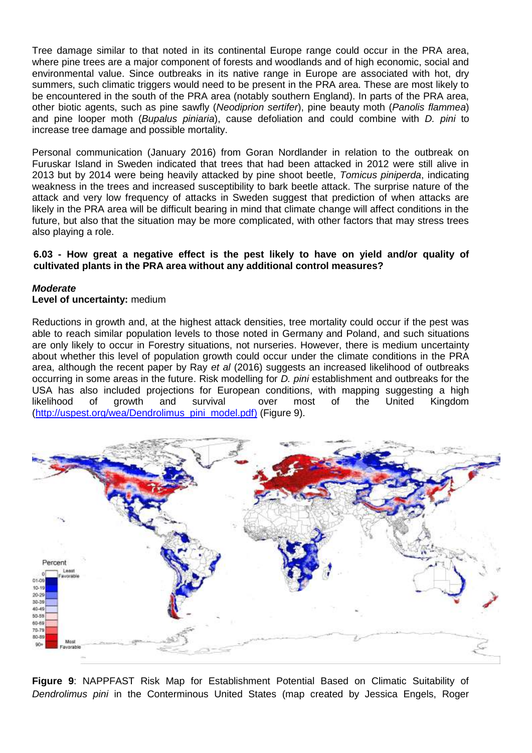Tree damage similar to that noted in its continental Europe range could occur in the PRA area, where pine trees are a major component of forests and woodlands and of high economic, social and environmental value. Since outbreaks in its native range in Europe are associated with hot, dry summers, such climatic triggers would need to be present in the PRA area. These are most likely to be encountered in the south of the PRA area (notably southern England). In parts of the PRA area, other biotic agents, such as pine sawfly (*Neodiprion sertifer*), pine beauty moth (*Panolis flammea*) and pine looper moth (*Bupalus piniaria*), cause defoliation and could combine with *D. pini* to increase tree damage and possible mortality.

Personal communication (January 2016) from Goran Nordlander in relation to the outbreak on Furuskar Island in Sweden indicated that trees that had been attacked in 2012 were still alive in 2013 but by 2014 were being heavily attacked by pine shoot beetle, *Tomicus piniperda*, indicating weakness in the trees and increased susceptibility to bark beetle attack. The surprise nature of the attack and very low frequency of attacks in Sweden suggest that prediction of when attacks are likely in the PRA area will be difficult bearing in mind that climate change will affect conditions in the future, but also that the situation may be more complicated, with other factors that may stress trees also playing a role.

### **6.03 - How great a negative effect is the pest likely to have on yield and/or quality of cultivated plants in the PRA area without any additional control measures?**

### *Moderate*

### **Level of uncertainty:** medium

Reductions in growth and, at the highest attack densities, tree mortality could occur if the pest was able to reach similar population levels to those noted in Germany and Poland, and such situations are only likely to occur in Forestry situations, not nurseries. However, there is medium uncertainty about whether this level of population growth could occur under the climate conditions in the PRA area, although the recent paper by Ray *et al* (2016) suggests an increased likelihood of outbreaks occurring in some areas in the future. Risk modelling for *D. pini* establishment and outbreaks for the USA has also included projections for European conditions, with mapping suggesting a high likelihood of growth and survival over most of the United Kingdom [\(http://uspest.org/wea/Dendrolimus\\_pini\\_model.pdf\)](http://uspest.org/wea/Dendrolimus_pini_model.pdf)) (Figure 9).



**Figure 9**: NAPPFAST Risk Map for Establishment Potential Based on Climatic Suitability of *Dendrolimus pini* in the Conterminous United States (map created by Jessica Engels, Roger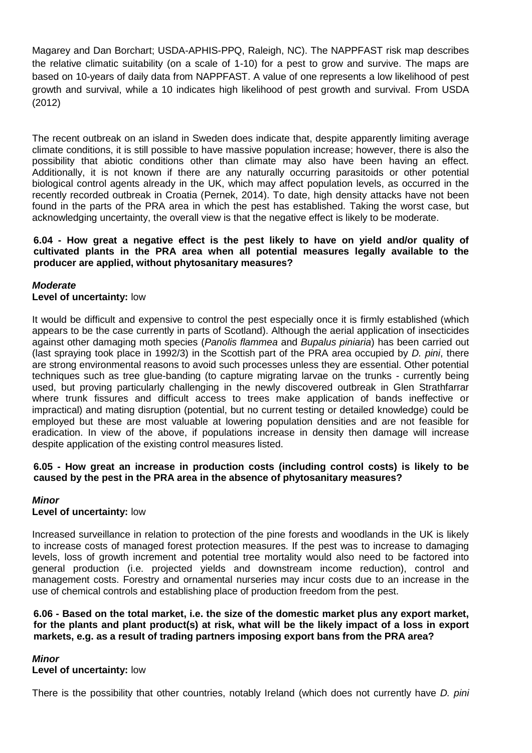Magarey and Dan Borchart; USDA-APHIS-PPQ, Raleigh, NC). The NAPPFAST risk map describes the relative climatic suitability (on a scale of 1-10) for a pest to grow and survive. The maps are based on 10-years of daily data from NAPPFAST. A value of one represents a low likelihood of pest growth and survival, while a 10 indicates high likelihood of pest growth and survival. From USDA (2012)

The recent outbreak on an island in Sweden does indicate that, despite apparently limiting average climate conditions, it is still possible to have massive population increase; however, there is also the possibility that abiotic conditions other than climate may also have been having an effect. Additionally, it is not known if there are any naturally occurring parasitoids or other potential biological control agents already in the UK, which may affect population levels, as occurred in the recently recorded outbreak in Croatia (Pernek, 2014). To date, high density attacks have not been found in the parts of the PRA area in which the pest has established. Taking the worst case, but acknowledging uncertainty, the overall view is that the negative effect is likely to be moderate.

### **6.04 - How great a negative effect is the pest likely to have on yield and/or quality of cultivated plants in the PRA area when all potential measures legally available to the producer are applied, without phytosanitary measures?**

# *Moderate*

### **Level of uncertainty:** low

It would be difficult and expensive to control the pest especially once it is firmly established (which appears to be the case currently in parts of Scotland). Although the aerial application of insecticides against other damaging moth species (*Panolis flammea* and *Bupalus piniaria*) has been carried out (last spraying took place in 1992/3) in the Scottish part of the PRA area occupied by *D. pini*, there are strong environmental reasons to avoid such processes unless they are essential. Other potential techniques such as tree glue-banding (to capture migrating larvae on the trunks - currently being used, but proving particularly challenging in the newly discovered outbreak in Glen Strathfarrar where trunk fissures and difficult access to trees make application of bands ineffective or impractical) and mating disruption (potential, but no current testing or detailed knowledge) could be employed but these are most valuable at lowering population densities and are not feasible for eradication. In view of the above, if populations increase in density then damage will increase despite application of the existing control measures listed.

### **6.05 - How great an increase in production costs (including control costs) is likely to be caused by the pest in the PRA area in the absence of phytosanitary measures?**

### *Minor*

### **Level of uncertainty:** low

Increased surveillance in relation to protection of the pine forests and woodlands in the UK is likely to increase costs of managed forest protection measures. If the pest was to increase to damaging levels, loss of growth increment and potential tree mortality would also need to be factored into general production (i.e. projected yields and downstream income reduction), control and management costs. Forestry and ornamental nurseries may incur costs due to an increase in the use of chemical controls and establishing place of production freedom from the pest.

**6.06 - Based on the total market, i.e. the size of the domestic market plus any export market, for the plants and plant product(s) at risk, what will be the likely impact of a loss in export markets, e.g. as a result of trading partners imposing export bans from the PRA area?**

### *Minor*

### **Level of uncertainty:** low

There is the possibility that other countries, notably Ireland (which does not currently have *D. pini*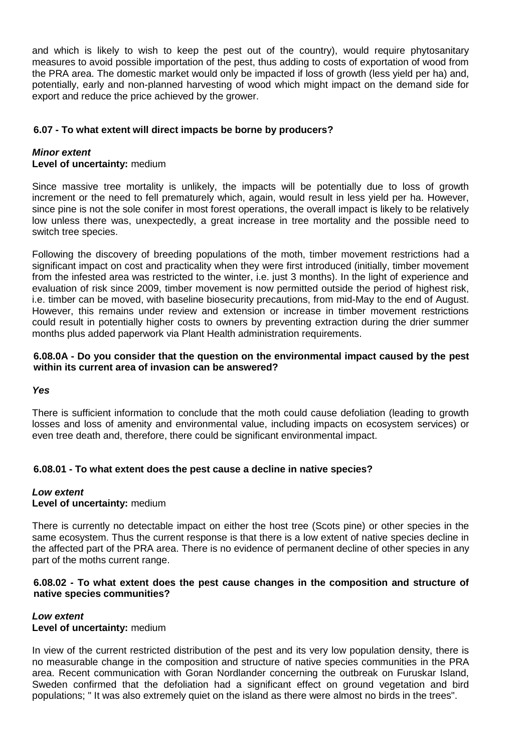and which is likely to wish to keep the pest out of the country), would require phytosanitary measures to avoid possible importation of the pest, thus adding to costs of exportation of wood from the PRA area. The domestic market would only be impacted if loss of growth (less yield per ha) and, potentially, early and non-planned harvesting of wood which might impact on the demand side for export and reduce the price achieved by the grower.

# **6.07 - To what extent will direct impacts be borne by producers?**

### *Minor extent* **Level of uncertainty:** medium

Since massive tree mortality is unlikely, the impacts will be potentially due to loss of growth increment or the need to fell prematurely which, again, would result in less yield per ha. However, since pine is not the sole conifer in most forest operations, the overall impact is likely to be relatively low unless there was, unexpectedly, a great increase in tree mortality and the possible need to switch tree species.

Following the discovery of breeding populations of the moth, timber movement restrictions had a significant impact on cost and practicality when they were first introduced (initially, timber movement from the infested area was restricted to the winter, i.e. just 3 months). In the light of experience and evaluation of risk since 2009, timber movement is now permitted outside the period of highest risk, i.e. timber can be moved, with baseline biosecurity precautions, from mid-May to the end of August. However, this remains under review and extension or increase in timber movement restrictions could result in potentially higher costs to owners by preventing extraction during the drier summer months plus added paperwork via Plant Health administration requirements.

# **6.08.0A - Do you consider that the question on the environmental impact caused by the pest within its current area of invasion can be answered?**

# *Yes*

There is sufficient information to conclude that the moth could cause defoliation (leading to growth losses and loss of amenity and environmental value, including impacts on ecosystem services) or even tree death and, therefore, there could be significant environmental impact.

# **6.08.01 - To what extent does the pest cause a decline in native species?**

# *Low extent* **Level of uncertainty:** medium

There is currently no detectable impact on either the host tree (Scots pine) or other species in the same ecosystem. Thus the current response is that there is a low extent of native species decline in the affected part of the PRA area. There is no evidence of permanent decline of other species in any part of the moths current range.

# **6.08.02 - To what extent does the pest cause changes in the composition and structure of native species communities?**

# *Low extent* **Level of uncertainty:** medium

In view of the current restricted distribution of the pest and its very low population density, there is no measurable change in the composition and structure of native species communities in the PRA area. Recent communication with Goran Nordlander concerning the outbreak on Furuskar Island, Sweden confirmed that the defoliation had a significant effect on ground vegetation and bird populations; " It was also extremely quiet on the island as there were almost no birds in the trees".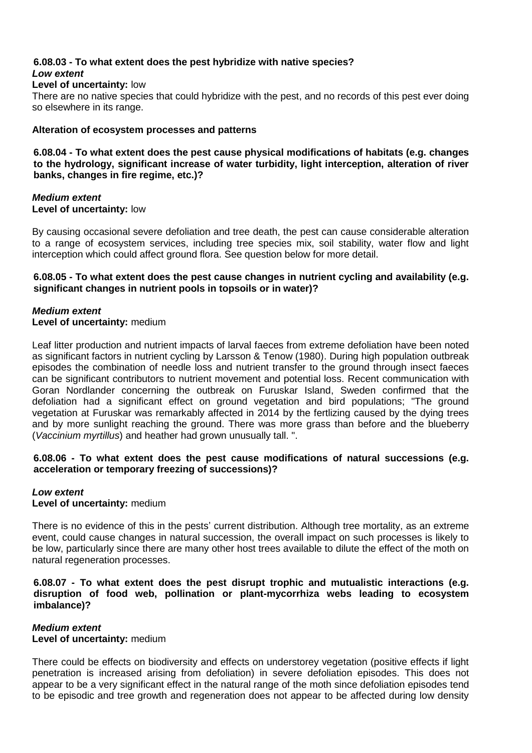# **6.08.03 - To what extent does the pest hybridize with native species?** *Low extent*

# **Level of uncertainty:** low

There are no native species that could hybridize with the pest, and no records of this pest ever doing so elsewhere in its range.

### **Alteration of ecosystem processes and patterns**

**6.08.04 - To what extent does the pest cause physical modifications of habitats (e.g. changes to the hydrology, significant increase of water turbidity, light interception, alteration of river banks, changes in fire regime, etc.)?**

### *Medium extent* **Level of uncertainty:** low

By causing occasional severe defoliation and tree death, the pest can cause considerable alteration to a range of ecosystem services, including tree species mix, soil stability, water flow and light interception which could affect ground flora. See question below for more detail.

# **6.08.05 - To what extent does the pest cause changes in nutrient cycling and availability (e.g. significant changes in nutrient pools in topsoils or in water)?**

# *Medium extent*

**Level of uncertainty:** medium

Leaf litter production and nutrient impacts of larval faeces from extreme defoliation have been noted as significant factors in nutrient cycling by Larsson & Tenow (1980). During high population outbreak episodes the combination of needle loss and nutrient transfer to the ground through insect faeces can be significant contributors to nutrient movement and potential loss. Recent communication with Goran Nordlander concerning the outbreak on Furuskar Island, Sweden confirmed that the defoliation had a significant effect on ground vegetation and bird populations; "The ground vegetation at Furuskar was remarkably affected in 2014 by the fertlizing caused by the dying trees and by more sunlight reaching the ground. There was more grass than before and the blueberry (*Vaccinium myrtillus*) and heather had grown unusually tall. ".

# **6.08.06 - To what extent does the pest cause modifications of natural successions (e.g. acceleration or temporary freezing of successions)?**

# *Low extent*

# **Level of uncertainty:** medium

There is no evidence of this in the pests' current distribution. Although tree mortality, as an extreme event, could cause changes in natural succession, the overall impact on such processes is likely to be low, particularly since there are many other host trees available to dilute the effect of the moth on natural regeneration processes.

### **6.08.07 - To what extent does the pest disrupt trophic and mutualistic interactions (e.g. disruption of food web, pollination or plant-mycorrhiza webs leading to ecosystem imbalance)?**

# *Medium extent*

# **Level of uncertainty:** medium

There could be effects on biodiversity and effects on understorey vegetation (positive effects if light penetration is increased arising from defoliation) in severe defoliation episodes. This does not appear to be a very significant effect in the natural range of the moth since defoliation episodes tend to be episodic and tree growth and regeneration does not appear to be affected during low density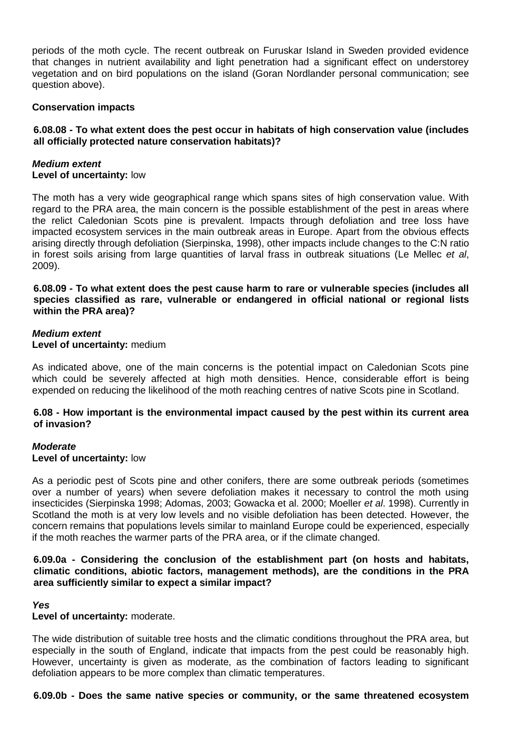periods of the moth cycle. The recent outbreak on Furuskar Island in Sweden provided evidence that changes in nutrient availability and light penetration had a significant effect on understorey vegetation and on bird populations on the island (Goran Nordlander personal communication; see question above).

### **Conservation impacts**

# **6.08.08 - To what extent does the pest occur in habitats of high conservation value (includes all officially protected nature conservation habitats)?**

### *Medium extent* **Level of uncertainty:** low

The moth has a very wide geographical range which spans sites of high conservation value. With regard to the PRA area, the main concern is the possible establishment of the pest in areas where the relict Caledonian Scots pine is prevalent. Impacts through defoliation and tree loss have impacted ecosystem services in the main outbreak areas in Europe. Apart from the obvious effects arising directly through defoliation (Sierpinska, 1998), other impacts include changes to the C:N ratio in forest soils arising from large quantities of larval frass in outbreak situations (Le Mellec *et al*, 2009).

**6.08.09 - To what extent does the pest cause harm to rare or vulnerable species (includes all species classified as rare, vulnerable or endangered in official national or regional lists within the PRA area)?**

### *Medium extent* **Level of uncertainty:** medium

As indicated above, one of the main concerns is the potential impact on Caledonian Scots pine which could be severely affected at high moth densities. Hence, considerable effort is being expended on reducing the likelihood of the moth reaching centres of native Scots pine in Scotland.

### **6.08 - How important is the environmental impact caused by the pest within its current area of invasion?**

# *Moderate*

# **Level of uncertainty:** low

As a periodic pest of Scots pine and other conifers, there are some outbreak periods (sometimes over a number of years) when severe defoliation makes it necessary to control the moth using insecticides (Sierpinska 1998; Adomas, 2003; Gowacka et al. 2000; Moeller *et al*. 1998). Currently in Scotland the moth is at very low levels and no visible defoliation has been detected. However, the concern remains that populations levels similar to mainland Europe could be experienced, especially if the moth reaches the warmer parts of the PRA area, or if the climate changed.

### **6.09.0a - Considering the conclusion of the establishment part (on hosts and habitats, climatic conditions, abiotic factors, management methods), are the conditions in the PRA area sufficiently similar to expect a similar impact?**

### *Yes*

# **Level of uncertainty:** moderate.

The wide distribution of suitable tree hosts and the climatic conditions throughout the PRA area, but especially in the south of England, indicate that impacts from the pest could be reasonably high. However, uncertainty is given as moderate, as the combination of factors leading to significant defoliation appears to be more complex than climatic temperatures.

### **6.09.0b - Does the same native species or community, or the same threatened ecosystem**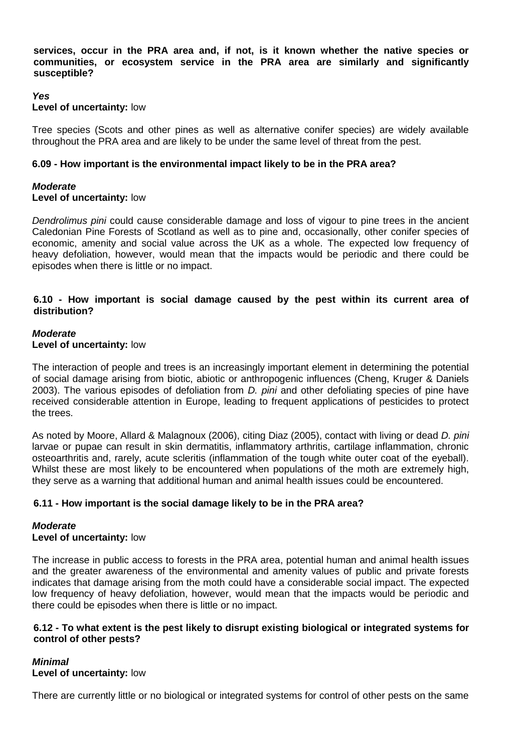**services, occur in the PRA area and, if not, is it known whether the native species or communities, or ecosystem service in the PRA area are similarly and significantly susceptible?**

### *Yes*

### **Level of uncertainty:** low

Tree species (Scots and other pines as well as alternative conifer species) are widely available throughout the PRA area and are likely to be under the same level of threat from the pest.

### **6.09 - How important is the environmental impact likely to be in the PRA area?**

# *Moderate*

# **Level of uncertainty:** low

*Dendrolimus pini* could cause considerable damage and loss of vigour to pine trees in the ancient Caledonian Pine Forests of Scotland as well as to pine and, occasionally, other conifer species of economic, amenity and social value across the UK as a whole. The expected low frequency of heavy defoliation, however, would mean that the impacts would be periodic and there could be episodes when there is little or no impact.

### **6.10 - How important is social damage caused by the pest within its current area of distribution?**

### *Moderate* **Level of uncertainty:** low

The interaction of people and trees is an increasingly important element in determining the potential of social damage arising from biotic, abiotic or anthropogenic influences (Cheng, Kruger & Daniels 2003). The various episodes of defoliation from *D. pini* and other defoliating species of pine have received considerable attention in Europe, leading to frequent applications of pesticides to protect the trees.

As noted by Moore, Allard & Malagnoux (2006), citing Diaz (2005), contact with living or dead *D. pini* larvae or pupae can result in skin dermatitis, inflammatory arthritis, cartilage inflammation, chronic osteoarthritis and, rarely, acute scleritis (inflammation of the tough white outer coat of the eyeball). Whilst these are most likely to be encountered when populations of the moth are extremely high, they serve as a warning that additional human and animal health issues could be encountered.

# **6.11 - How important is the social damage likely to be in the PRA area?**

# *Moderate*

# **Level of uncertainty:** low

The increase in public access to forests in the PRA area, potential human and animal health issues and the greater awareness of the environmental and amenity values of public and private forests indicates that damage arising from the moth could have a considerable social impact. The expected low frequency of heavy defoliation, however, would mean that the impacts would be periodic and there could be episodes when there is little or no impact.

### **6.12 - To what extent is the pest likely to disrupt existing biological or integrated systems for control of other pests?**

# *Minimal*

# **Level of uncertainty:** low

There are currently little or no biological or integrated systems for control of other pests on the same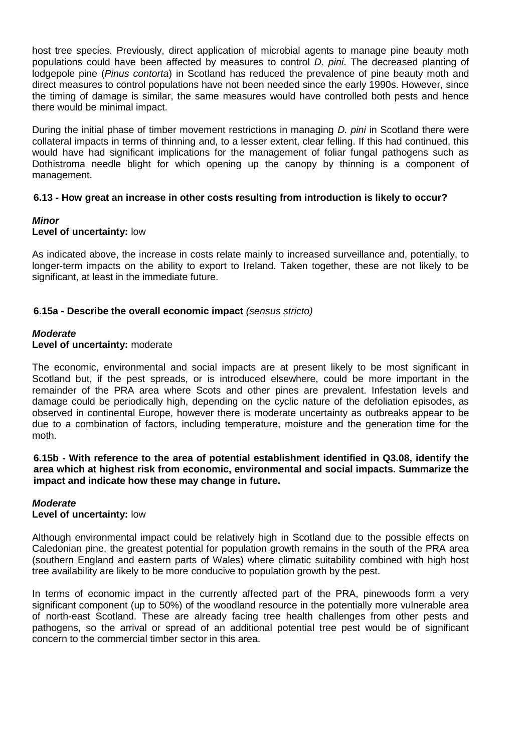host tree species. Previously, direct application of microbial agents to manage pine beauty moth populations could have been affected by measures to control *D. pini*. The decreased planting of lodgepole pine (*Pinus contorta*) in Scotland has reduced the prevalence of pine beauty moth and direct measures to control populations have not been needed since the early 1990s. However, since the timing of damage is similar, the same measures would have controlled both pests and hence there would be minimal impact.

During the initial phase of timber movement restrictions in managing *D. pini* in Scotland there were collateral impacts in terms of thinning and, to a lesser extent, clear felling. If this had continued, this would have had significant implications for the management of foliar fungal pathogens such as Dothistroma needle blight for which opening up the canopy by thinning is a component of management.

### **6.13 - How great an increase in other costs resulting from introduction is likely to occur?**

# *Minor*

### **Level of uncertainty:** low

As indicated above, the increase in costs relate mainly to increased surveillance and, potentially, to longer-term impacts on the ability to export to Ireland. Taken together, these are not likely to be significant, at least in the immediate future.

### **6.15a - Describe the overall economic impact** *(sensus stricto)*

#### *Moderate* **Level of uncertainty:** moderate

The economic, environmental and social impacts are at present likely to be most significant in Scotland but, if the pest spreads, or is introduced elsewhere, could be more important in the remainder of the PRA area where Scots and other pines are prevalent. Infestation levels and damage could be periodically high, depending on the cyclic nature of the defoliation episodes, as observed in continental Europe, however there is moderate uncertainty as outbreaks appear to be due to a combination of factors, including temperature, moisture and the generation time for the moth.

**6.15b - With reference to the area of potential establishment identified in Q3.08, identify the area which at highest risk from economic, environmental and social impacts. Summarize the impact and indicate how these may change in future.**

# *Moderate* **Level of uncertainty:** low

Although environmental impact could be relatively high in Scotland due to the possible effects on Caledonian pine, the greatest potential for population growth remains in the south of the PRA area (southern England and eastern parts of Wales) where climatic suitability combined with high host tree availability are likely to be more conducive to population growth by the pest.

In terms of economic impact in the currently affected part of the PRA, pinewoods form a very significant component (up to 50%) of the woodland resource in the potentially more vulnerable area of north-east Scotland. These are already facing tree health challenges from other pests and pathogens, so the arrival or spread of an additional potential tree pest would be of significant concern to the commercial timber sector in this area.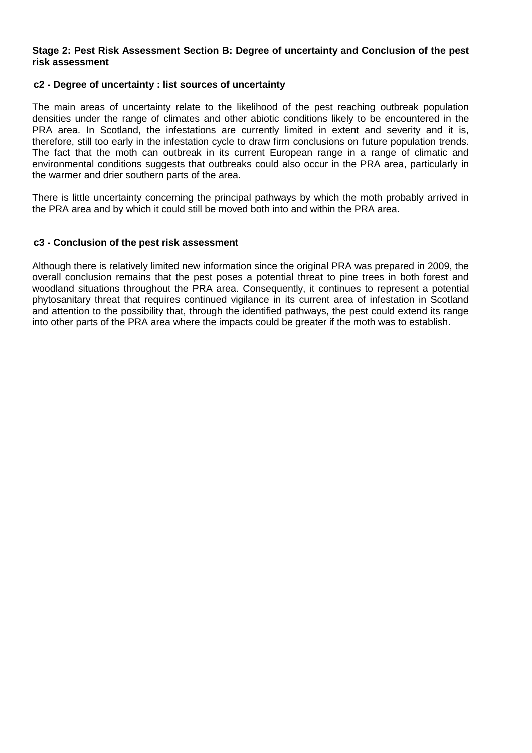### **Stage 2: Pest Risk Assessment Section B: Degree of uncertainty and Conclusion of the pest risk assessment**

### **c2 - Degree of uncertainty : list sources of uncertainty**

The main areas of uncertainty relate to the likelihood of the pest reaching outbreak population densities under the range of climates and other abiotic conditions likely to be encountered in the PRA area. In Scotland, the infestations are currently limited in extent and severity and it is, therefore, still too early in the infestation cycle to draw firm conclusions on future population trends. The fact that the moth can outbreak in its current European range in a range of climatic and environmental conditions suggests that outbreaks could also occur in the PRA area, particularly in the warmer and drier southern parts of the area.

There is little uncertainty concerning the principal pathways by which the moth probably arrived in the PRA area and by which it could still be moved both into and within the PRA area.

### **c3 - Conclusion of the pest risk assessment**

Although there is relatively limited new information since the original PRA was prepared in 2009, the overall conclusion remains that the pest poses a potential threat to pine trees in both forest and woodland situations throughout the PRA area. Consequently, it continues to represent a potential phytosanitary threat that requires continued vigilance in its current area of infestation in Scotland and attention to the possibility that, through the identified pathways, the pest could extend its range into other parts of the PRA area where the impacts could be greater if the moth was to establish.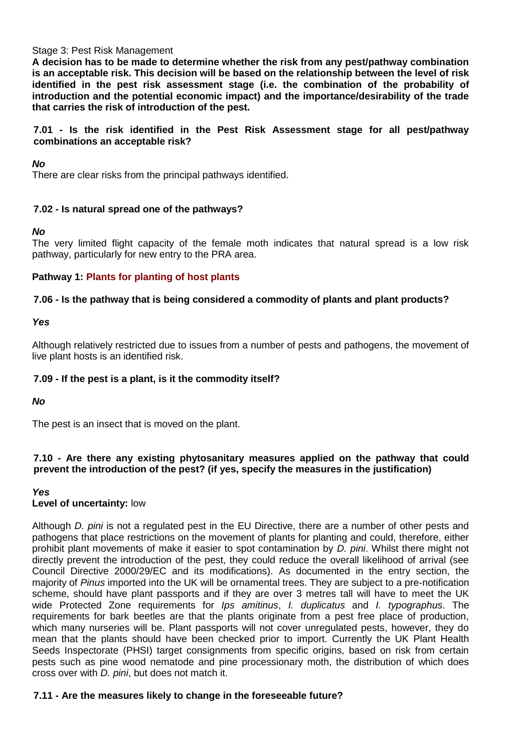### Stage 3: Pest Risk Management

**A decision has to be made to determine whether the risk from any pest/pathway combination is an acceptable risk. This decision will be based on the relationship between the level of risk identified in the pest risk assessment stage (i.e. the combination of the probability of introduction and the potential economic impact) and the importance/desirability of the trade that carries the risk of introduction of the pest.** 

# **7.01 - Is the risk identified in the Pest Risk Assessment stage for all pest/pathway combinations an acceptable risk?**

# *No*

There are clear risks from the principal pathways identified.

# **7.02 - Is natural spread one of the pathways?**

# *No*

The very limited flight capacity of the female moth indicates that natural spread is a low risk pathway, particularly for new entry to the PRA area.

# **Pathway 1: Plants for planting of host plants**

# **7.06 - Is the pathway that is being considered a commodity of plants and plant products?**

*Yes*

Although relatively restricted due to issues from a number of pests and pathogens, the movement of live plant hosts is an identified risk.

# **7.09 - If the pest is a plant, is it the commodity itself?**

*No*

The pest is an insect that is moved on the plant.

# **7.10 - Are there any existing phytosanitary measures applied on the pathway that could prevent the introduction of the pest? (if yes, specify the measures in the justification)**

# *Yes*

# **Level of uncertainty:** low

Although *D. pini* is not a regulated pest in the EU Directive, there are a number of other pests and pathogens that place restrictions on the movement of plants for planting and could, therefore, either prohibit plant movements of make it easier to spot contamination by *D. pini*. Whilst there might not directly prevent the introduction of the pest, they could reduce the overall likelihood of arrival (see Council Directive 2000/29/EC and its modifications). As documented in the entry section, the majority of *Pinus* imported into the UK will be ornamental trees. They are subject to a pre-notification scheme, should have plant passports and if they are over 3 metres tall will have to meet the UK wide Protected Zone requirements for *Ips amitinus*, *I. duplicatus* and *I. typographus*. The requirements for bark beetles are that the plants originate from a pest free place of production, which many nurseries will be. Plant passports will not cover unregulated pests, however, they do mean that the plants should have been checked prior to import. Currently the UK Plant Health Seeds Inspectorate (PHSI) target consignments from specific origins, based on risk from certain pests such as pine wood nematode and pine processionary moth, the distribution of which does cross over with *D. pini*, but does not match it.

# **7.11 - Are the measures likely to change in the foreseeable future?**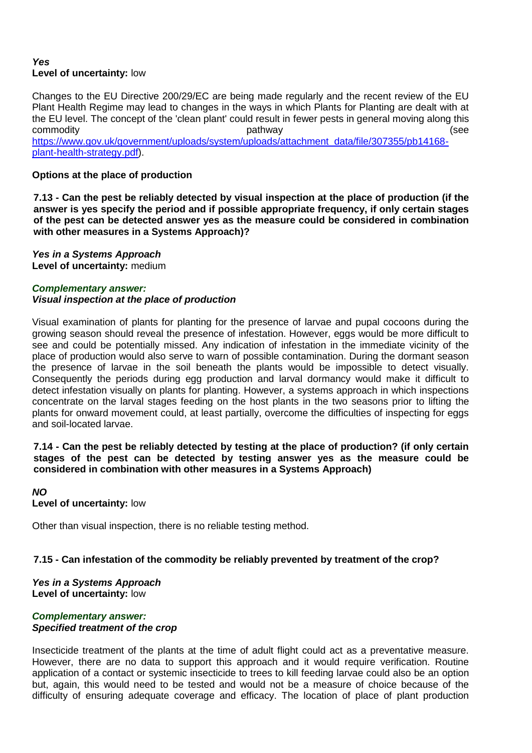# *Yes* **Level of uncertainty:** low

Changes to the EU Directive 200/29/EC are being made regularly and the recent review of the EU Plant Health Regime may lead to changes in the ways in which Plants for Planting are dealt with at the EU level. The concept of the 'clean plant' could result in fewer pests in general moving along this commodity example and the pathway commodity (see https://www.gov.uk/government/uploads/system/uploads/attachment\_data/file/307355/pb14168plant-health-strategy.pdf).

# **Options at the place of production**

**7.13 - Can the pest be reliably detected by visual inspection at the place of production (if the answer is yes specify the period and if possible appropriate frequency, if only certain stages of the pest can be detected answer yes as the measure could be considered in combination with other measures in a Systems Approach)?**

*Yes in a Systems Approach* **Level of uncertainty:** medium

# *Complementary answer: Visual inspection at the place of production*

Visual examination of plants for planting for the presence of larvae and pupal cocoons during the growing season should reveal the presence of infestation. However, eggs would be more difficult to see and could be potentially missed. Any indication of infestation in the immediate vicinity of the place of production would also serve to warn of possible contamination. During the dormant season the presence of larvae in the soil beneath the plants would be impossible to detect visually. Consequently the periods during egg production and larval dormancy would make it difficult to detect infestation visually on plants for planting. However, a systems approach in which inspections concentrate on the larval stages feeding on the host plants in the two seasons prior to lifting the plants for onward movement could, at least partially, overcome the difficulties of inspecting for eggs and soil-located larvae.

### **7.14 - Can the pest be reliably detected by testing at the place of production? (if only certain stages of the pest can be detected by testing answer yes as the measure could be considered in combination with other measures in a Systems Approach)**

*NO* **Level of uncertainty:** low

Other than visual inspection, there is no reliable testing method.

# **7.15 - Can infestation of the commodity be reliably prevented by treatment of the crop?**

*Yes in a Systems Approach* **Level of uncertainty:** low

# *Complementary answer: Specified treatment of the crop*

Insecticide treatment of the plants at the time of adult flight could act as a preventative measure. However, there are no data to support this approach and it would require verification. Routine application of a contact or systemic insecticide to trees to kill feeding larvae could also be an option but, again, this would need to be tested and would not be a measure of choice because of the difficulty of ensuring adequate coverage and efficacy. The location of place of plant production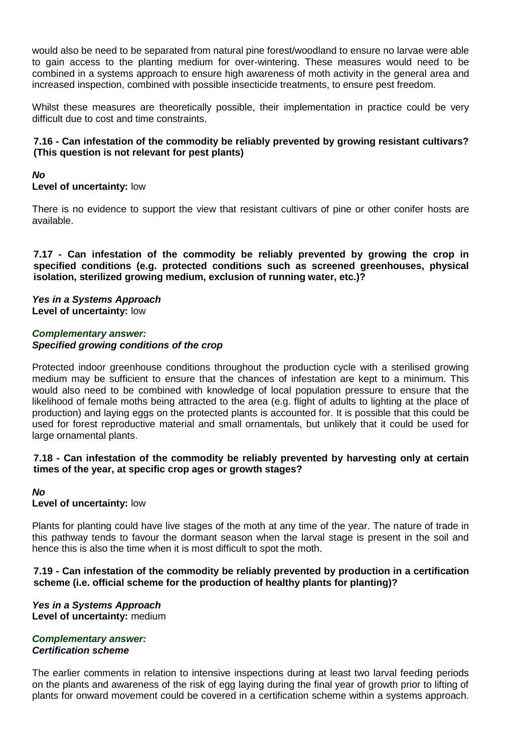would also be need to be separated from natural pine forest/woodland to ensure no larvae were able to gain access to the planting medium for over-wintering. These measures would need to be combined in a systems approach to ensure high awareness of moth activity in the general area and increased inspection, combined with possible insecticide treatments, to ensure pest freedom.

Whilst these measures are theoretically possible, their implementation in practice could be very difficult due to cost and time constraints.

# **7.16 - Can infestation of the commodity be reliably prevented by growing resistant cultivars? (This question is not relevant for pest plants)**

# *No*

**Level of uncertainty:** low

There is no evidence to support the view that resistant cultivars of pine or other conifer hosts are available.

**7.17 - Can infestation of the commodity be reliably prevented by growing the crop in specified conditions (e.g. protected conditions such as screened greenhouses, physical isolation, sterilized growing medium, exclusion of running water, etc.)?**

### *Yes in a Systems Approach* **Level of uncertainty:** low

### *Complementary answer: Specified growing conditions of the crop*

Protected indoor greenhouse conditions throughout the production cycle with a sterilised growing medium may be sufficient to ensure that the chances of infestation are kept to a minimum. This would also need to be combined with knowledge of local population pressure to ensure that the likelihood of female moths being attracted to the area (e.g. flight of adults to lighting at the place of production) and laying eggs on the protected plants is accounted for. It is possible that this could be used for forest reproductive material and small ornamentals, but unlikely that it could be used for large ornamental plants.

### **7.18 - Can infestation of the commodity be reliably prevented by harvesting only at certain times of the year, at specific crop ages or growth stages?**

# *No*

# **Level of uncertainty:** low

Plants for planting could have live stages of the moth at any time of the year. The nature of trade in this pathway tends to favour the dormant season when the larval stage is present in the soil and hence this is also the time when it is most difficult to spot the moth.

**7.19 - Can infestation of the commodity be reliably prevented by production in a certification scheme (i.e. official scheme for the production of healthy plants for planting)?**

*Yes in a Systems Approach* **Level of uncertainty:** medium

### *Complementary answer: Certification scheme*

The earlier comments in relation to intensive inspections during at least two larval feeding periods on the plants and awareness of the risk of egg laying during the final year of growth prior to lifting of plants for onward movement could be covered in a certification scheme within a systems approach.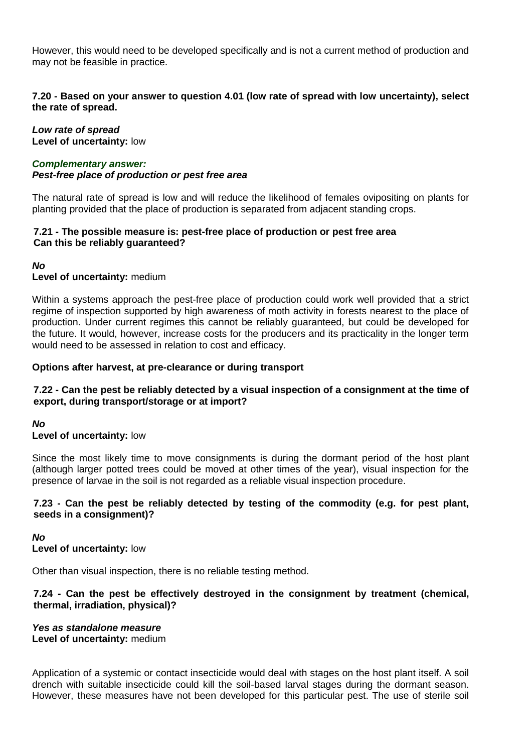However, this would need to be developed specifically and is not a current method of production and may not be feasible in practice.

# **7.20 - Based on your answer to question 4.01 (low rate of spread with low uncertainty), select the rate of spread.**

*Low rate of spread* **Level of uncertainty:** low

#### *Complementary answer: Pest-free place of production or pest free area*

The natural rate of spread is low and will reduce the likelihood of females ovipositing on plants for planting provided that the place of production is separated from adjacent standing crops.

# **7.21 - The possible measure is: pest-free place of production or pest free area Can this be reliably guaranteed?**

*No*

# **Level of uncertainty:** medium

Within a systems approach the pest-free place of production could work well provided that a strict regime of inspection supported by high awareness of moth activity in forests nearest to the place of production. Under current regimes this cannot be reliably guaranteed, but could be developed for the future. It would, however, increase costs for the producers and its practicality in the longer term would need to be assessed in relation to cost and efficacy.

# **Options after harvest, at pre-clearance or during transport**

# **7.22 - Can the pest be reliably detected by a visual inspection of a consignment at the time of export, during transport/storage or at import?**

# *No*

# **Level of uncertainty:** low

Since the most likely time to move consignments is during the dormant period of the host plant (although larger potted trees could be moved at other times of the year), visual inspection for the presence of larvae in the soil is not regarded as a reliable visual inspection procedure.

# **7.23 - Can the pest be reliably detected by testing of the commodity (e.g. for pest plant, seeds in a consignment)?**

*No*

# **Level of uncertainty:** low

Other than visual inspection, there is no reliable testing method.

# **7.24 - Can the pest be effectively destroyed in the consignment by treatment (chemical, thermal, irradiation, physical)?**

### *Yes as standalone measure* **Level of uncertainty:** medium

Application of a systemic or contact insecticide would deal with stages on the host plant itself. A soil drench with suitable insecticide could kill the soil-based larval stages during the dormant season. However, these measures have not been developed for this particular pest. The use of sterile soil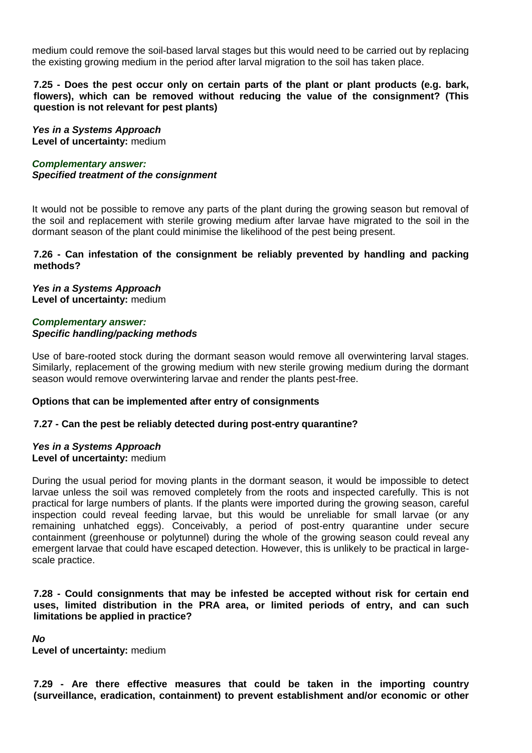medium could remove the soil-based larval stages but this would need to be carried out by replacing the existing growing medium in the period after larval migration to the soil has taken place.

**7.25 - Does the pest occur only on certain parts of the plant or plant products (e.g. bark, flowers), which can be removed without reducing the value of the consignment? (This question is not relevant for pest plants)**

*Yes in a Systems Approach* **Level of uncertainty:** medium

*Complementary answer: Specified treatment of the consignment*

It would not be possible to remove any parts of the plant during the growing season but removal of the soil and replacement with sterile growing medium after larvae have migrated to the soil in the dormant season of the plant could minimise the likelihood of the pest being present.

### **7.26 - Can infestation of the consignment be reliably prevented by handling and packing methods?**

*Yes in a Systems Approach* **Level of uncertainty:** medium

### *Complementary answer: Specific handling/packing methods*

Use of bare-rooted stock during the dormant season would remove all overwintering larval stages. Similarly, replacement of the growing medium with new sterile growing medium during the dormant season would remove overwintering larvae and render the plants pest-free.

### **Options that can be implemented after entry of consignments**

### **7.27 - Can the pest be reliably detected during post-entry quarantine?**

### *Yes in a Systems Approach* **Level of uncertainty:** medium

During the usual period for moving plants in the dormant season, it would be impossible to detect larvae unless the soil was removed completely from the roots and inspected carefully. This is not practical for large numbers of plants. If the plants were imported during the growing season, careful inspection could reveal feeding larvae, but this would be unreliable for small larvae (or any remaining unhatched eggs). Conceivably, a period of post-entry quarantine under secure containment (greenhouse or polytunnel) during the whole of the growing season could reveal any emergent larvae that could have escaped detection. However, this is unlikely to be practical in largescale practice.

**7.28 - Could consignments that may be infested be accepted without risk for certain end uses, limited distribution in the PRA area, or limited periods of entry, and can such limitations be applied in practice?**

*No*

**Level of uncertainty:** medium

**7.29 - Are there effective measures that could be taken in the importing country (surveillance, eradication, containment) to prevent establishment and/or economic or other**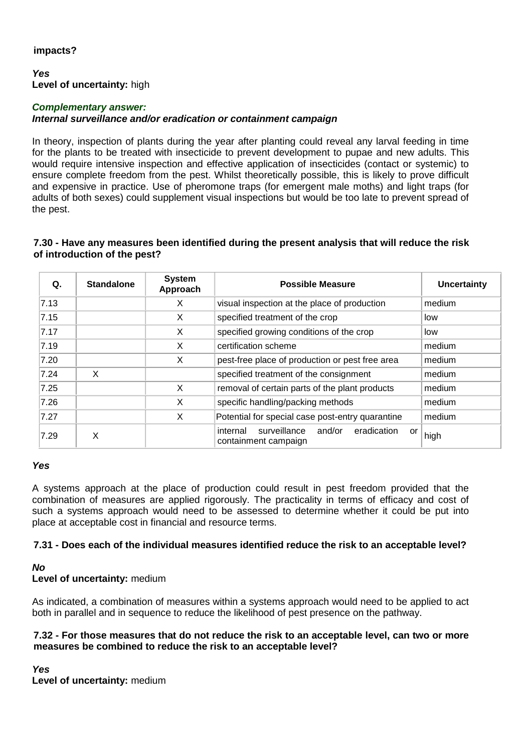# **impacts?**

### *Yes* **Level of uncertainty:** high

### *Complementary answer: Internal surveillance and/or eradication or containment campaign*

In theory, inspection of plants during the year after planting could reveal any larval feeding in time for the plants to be treated with insecticide to prevent development to pupae and new adults. This would require intensive inspection and effective application of insecticides (contact or systemic) to ensure complete freedom from the pest. Whilst theoretically possible, this is likely to prove difficult and expensive in practice. Use of pheromone traps (for emergent male moths) and light traps (for adults of both sexes) could supplement visual inspections but would be too late to prevent spread of the pest.

# **7.30 - Have any measures been identified during the present analysis that will reduce the risk of introduction of the pest?**

| Q.   | <b>Standalone</b> | <b>System</b><br>Approach | <b>Possible Measure</b>                                                         | <b>Uncertainty</b> |
|------|-------------------|---------------------------|---------------------------------------------------------------------------------|--------------------|
| 7.13 |                   | X                         | visual inspection at the place of production                                    | medium             |
| 7.15 |                   | X                         | specified treatment of the crop                                                 | low                |
| 7.17 |                   | X                         | specified growing conditions of the crop                                        | low                |
| 7.19 |                   | X                         | certification scheme                                                            | medium             |
| 7.20 |                   | X                         | pest-free place of production or pest free area                                 | medium             |
| 7.24 | X                 |                           | specified treatment of the consignment                                          | medium             |
| 7.25 |                   | X                         | removal of certain parts of the plant products                                  | medium             |
| 7.26 |                   | X                         | specific handling/packing methods                                               | medium             |
| 7.27 |                   | X                         | Potential for special case post-entry quarantine                                | medium             |
| 7.29 | X                 |                           | surveillance<br>and/or<br>eradication<br>internal<br>or<br>containment campaign | high               |

# *Yes*

A systems approach at the place of production could result in pest freedom provided that the combination of measures are applied rigorously. The practicality in terms of efficacy and cost of such a systems approach would need to be assessed to determine whether it could be put into place at acceptable cost in financial and resource terms.

# **7.31 - Does each of the individual measures identified reduce the risk to an acceptable level?**

# *No*

**Level of uncertainty:** medium

As indicated, a combination of measures within a systems approach would need to be applied to act both in parallel and in sequence to reduce the likelihood of pest presence on the pathway.

### **7.32 - For those measures that do not reduce the risk to an acceptable level, can two or more measures be combined to reduce the risk to an acceptable level?**

*Yes* **Level of uncertainty:** medium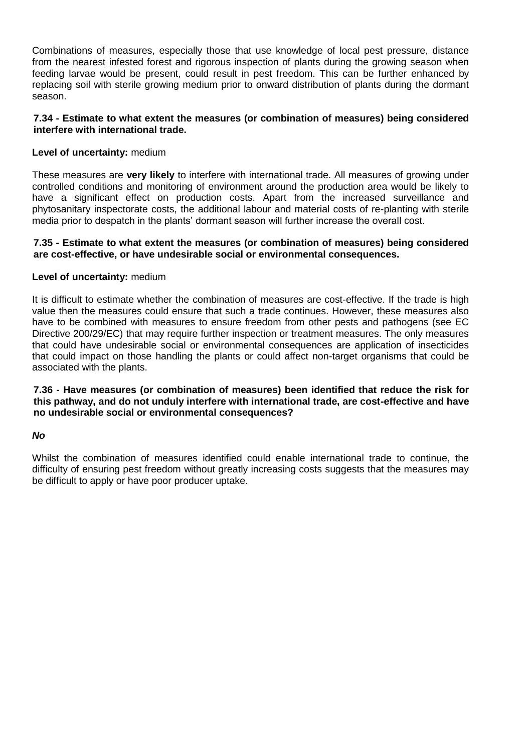Combinations of measures, especially those that use knowledge of local pest pressure, distance from the nearest infested forest and rigorous inspection of plants during the growing season when feeding larvae would be present, could result in pest freedom. This can be further enhanced by replacing soil with sterile growing medium prior to onward distribution of plants during the dormant season.

### **7.34 - Estimate to what extent the measures (or combination of measures) being considered interfere with international trade.**

# **Level of uncertainty:** medium

These measures are **very likely** to interfere with international trade. All measures of growing under controlled conditions and monitoring of environment around the production area would be likely to have a significant effect on production costs. Apart from the increased surveillance and phytosanitary inspectorate costs, the additional labour and material costs of re-planting with sterile media prior to despatch in the plants' dormant season will further increase the overall cost.

### **7.35 - Estimate to what extent the measures (or combination of measures) being considered are cost-effective, or have undesirable social or environmental consequences.**

### **Level of uncertainty:** medium

It is difficult to estimate whether the combination of measures are cost-effective. If the trade is high value then the measures could ensure that such a trade continues. However, these measures also have to be combined with measures to ensure freedom from other pests and pathogens (see EC Directive 200/29/EC) that may require further inspection or treatment measures. The only measures that could have undesirable social or environmental consequences are application of insecticides that could impact on those handling the plants or could affect non-target organisms that could be associated with the plants.

**7.36 - Have measures (or combination of measures) been identified that reduce the risk for this pathway, and do not unduly interfere with international trade, are cost-effective and have no undesirable social or environmental consequences?**

### *No*

Whilst the combination of measures identified could enable international trade to continue, the difficulty of ensuring pest freedom without greatly increasing costs suggests that the measures may be difficult to apply or have poor producer uptake.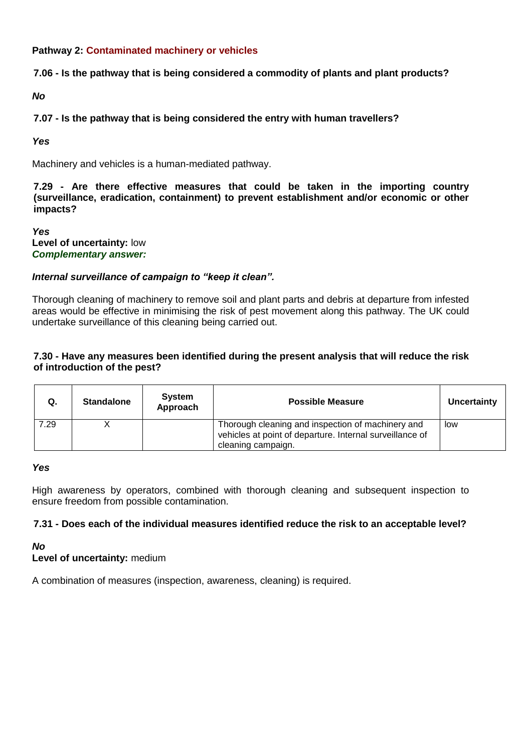# **Pathway 2: Contaminated machinery or vehicles**

# **7.06 - Is the pathway that is being considered a commodity of plants and plant products?**

*No*

# **7.07 - Is the pathway that is being considered the entry with human travellers?**

*Yes*

Machinery and vehicles is a human-mediated pathway.

**7.29 - Are there effective measures that could be taken in the importing country (surveillance, eradication, containment) to prevent establishment and/or economic or other impacts?**

*Yes* **Level of uncertainty:** low *Complementary answer:*

# *Internal surveillance of campaign to "keep it clean".*

Thorough cleaning of machinery to remove soil and plant parts and debris at departure from infested areas would be effective in minimising the risk of pest movement along this pathway. The UK could undertake surveillance of this cleaning being carried out.

# **7.30 - Have any measures been identified during the present analysis that will reduce the risk of introduction of the pest?**

| Q.   | <b>Standalone</b> | System<br>Approach | <b>Possible Measure</b>                                                                                                             | Uncertainty |
|------|-------------------|--------------------|-------------------------------------------------------------------------------------------------------------------------------------|-------------|
| 7.29 |                   |                    | Thorough cleaning and inspection of machinery and<br>vehicles at point of departure. Internal surveillance of<br>cleaning campaign. | low         |

### *Yes*

High awareness by operators, combined with thorough cleaning and subsequent inspection to ensure freedom from possible contamination.

# **7.31 - Does each of the individual measures identified reduce the risk to an acceptable level?**

*No*

# **Level of uncertainty:** medium

A combination of measures (inspection, awareness, cleaning) is required.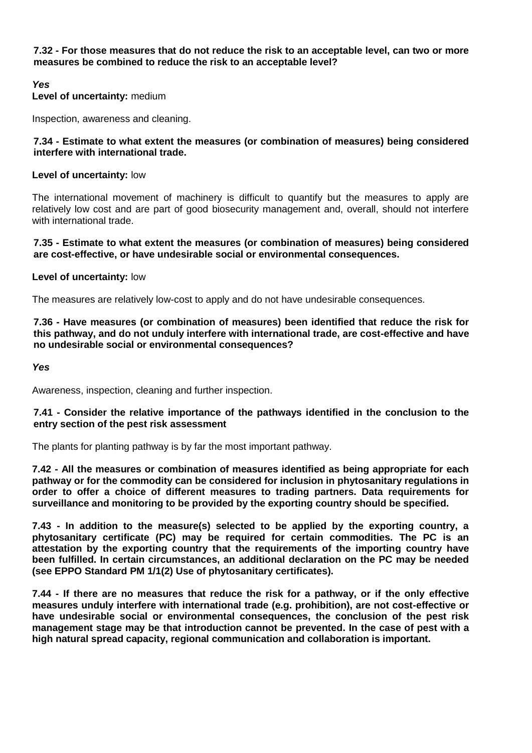**7.32 - For those measures that do not reduce the risk to an acceptable level, can two or more measures be combined to reduce the risk to an acceptable level?**

# *Yes*

**Level of uncertainty:** medium

Inspection, awareness and cleaning.

### **7.34 - Estimate to what extent the measures (or combination of measures) being considered interfere with international trade.**

### **Level of uncertainty:** low

The international movement of machinery is difficult to quantify but the measures to apply are relatively low cost and are part of good biosecurity management and, overall, should not interfere with international trade.

### **7.35 - Estimate to what extent the measures (or combination of measures) being considered are cost-effective, or have undesirable social or environmental consequences.**

# **Level of uncertainty:** low

The measures are relatively low-cost to apply and do not have undesirable consequences.

### **7.36 - Have measures (or combination of measures) been identified that reduce the risk for this pathway, and do not unduly interfere with international trade, are cost-effective and have no undesirable social or environmental consequences?**

*Yes*

Awareness, inspection, cleaning and further inspection.

### **7.41 - Consider the relative importance of the pathways identified in the conclusion to the entry section of the pest risk assessment**

The plants for planting pathway is by far the most important pathway.

**7.42 - All the measures or combination of measures identified as being appropriate for each pathway or for the commodity can be considered for inclusion in phytosanitary regulations in order to offer a choice of different measures to trading partners. Data requirements for surveillance and monitoring to be provided by the exporting country should be specified.**

**7.43 - In addition to the measure(s) selected to be applied by the exporting country, a phytosanitary certificate (PC) may be required for certain commodities. The PC is an attestation by the exporting country that the requirements of the importing country have been fulfilled. In certain circumstances, an additional declaration on the PC may be needed (see EPPO Standard PM 1/1(2) Use of phytosanitary certificates).** 

**7.44 - If there are no measures that reduce the risk for a pathway, or if the only effective measures unduly interfere with international trade (e.g. prohibition), are not cost-effective or have undesirable social or environmental consequences, the conclusion of the pest risk management stage may be that introduction cannot be prevented. In the case of pest with a high natural spread capacity, regional communication and collaboration is important.**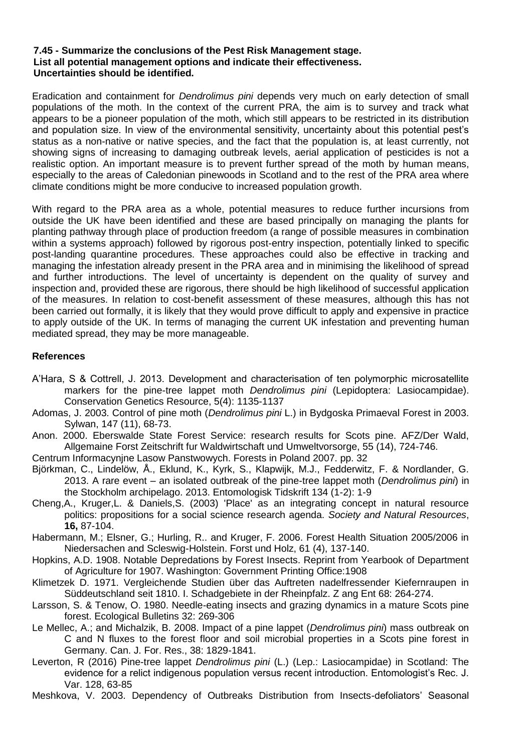### **7.45 - Summarize the conclusions of the Pest Risk Management stage. List all potential management options and indicate their effectiveness. Uncertainties should be identified.**

Eradication and containment for *Dendrolimus pini* depends very much on early detection of small populations of the moth. In the context of the current PRA, the aim is to survey and track what appears to be a pioneer population of the moth, which still appears to be restricted in its distribution and population size. In view of the environmental sensitivity, uncertainty about this potential pest's status as a non-native or native species, and the fact that the population is, at least currently, not showing signs of increasing to damaging outbreak levels, aerial application of pesticides is not a realistic option. An important measure is to prevent further spread of the moth by human means, especially to the areas of Caledonian pinewoods in Scotland and to the rest of the PRA area where climate conditions might be more conducive to increased population growth.

With regard to the PRA area as a whole, potential measures to reduce further incursions from outside the UK have been identified and these are based principally on managing the plants for planting pathway through place of production freedom (a range of possible measures in combination within a systems approach) followed by rigorous post-entry inspection, potentially linked to specific post-landing quarantine procedures. These approaches could also be effective in tracking and managing the infestation already present in the PRA area and in minimising the likelihood of spread and further introductions. The level of uncertainty is dependent on the quality of survey and inspection and, provided these are rigorous, there should be high likelihood of successful application of the measures. In relation to cost-benefit assessment of these measures, although this has not been carried out formally, it is likely that they would prove difficult to apply and expensive in practice to apply outside of the UK. In terms of managing the current UK infestation and preventing human mediated spread, they may be more manageable.

# **References**

- A'Hara, S & Cottrell, J. 2013. Development and characterisation of ten polymorphic microsatellite markers for the pine-tree lappet moth *Dendrolimus pini* (Lepidoptera: Lasiocampidae). Conservation Genetics Resource, 5(4): 1135-1137
- Adomas, J. 2003. Control of pine moth (*Dendrolimus pini* L.) in Bydgoska Primaeval Forest in 2003. Sylwan, 147 (11), 68-73.
- Anon. 2000. Eberswalde State Forest Service: research results for Scots pine. AFZ/Der Wald, Allgemaine Forst Zeitschrift fur Waldwirtschaft und Umweltvorsorge, 55 (14), 724-746.
- Centrum Informacynjne Lasow Panstwowych. Forests in Poland 2007. pp. 32
- Björkman, C., Lindelöw, Å., Eklund, K., Kyrk, S., Klapwijk, M.J., Fedderwitz, F. & Nordlander, G. 2013. A rare event – an isolated outbreak of the pine-tree lappet moth (*Dendrolimus pini*) in the Stockholm archipelago. 2013. Entomologisk Tidskrift 134 (1-2): 1-9
- Cheng,A., Kruger,L. & Daniels,S. (2003) 'Place' as an integrating concept in natural resource politics: propositions for a social science research agenda. *Society and Natural Resources*, **16,** 87-104.
- Habermann, M.; Elsner, G.; Hurling, R.. and Kruger, F. 2006. Forest Health Situation 2005/2006 in Niedersachen and Scleswig-Holstein. Forst und Holz, 61 (4), 137-140.
- Hopkins, A.D. 1908. Notable Depredations by Forest Insects. Reprint from Yearbook of Department of Agriculture for 1907. Washington: Government Printing Office:1908
- Klimetzek D. 1971. Vergleichende Studien über das Auftreten nadelfressender Kiefernraupen in Süddeutschland seit 1810. I. Schadgebiete in der Rheinpfalz. Z ang Ent 68: 264-274.
- Larsson, S. & Tenow, O. 1980. Needle-eating insects and grazing dynamics in a mature Scots pine forest. Ecological Bulletins 32: 269-306
- Le Mellec, A.; and Michalzik, B. 2008. Impact of a pine lappet (*Dendrolimus pini*) mass outbreak on C and N fluxes to the forest floor and soil microbial properties in a Scots pine forest in Germany. Can. J. For. Res., 38: 1829-1841.
- Leverton, R (2016) Pine-tree lappet *Dendrolimus pini* (L.) (Lep.: Lasiocampidae) in Scotland: The evidence for a relict indigenous population versus recent introduction. Entomologist's Rec. J. Var. 128, 63-85
- Meshkova, V. 2003. Dependency of Outbreaks Distribution from Insects-defoliators' Seasonal